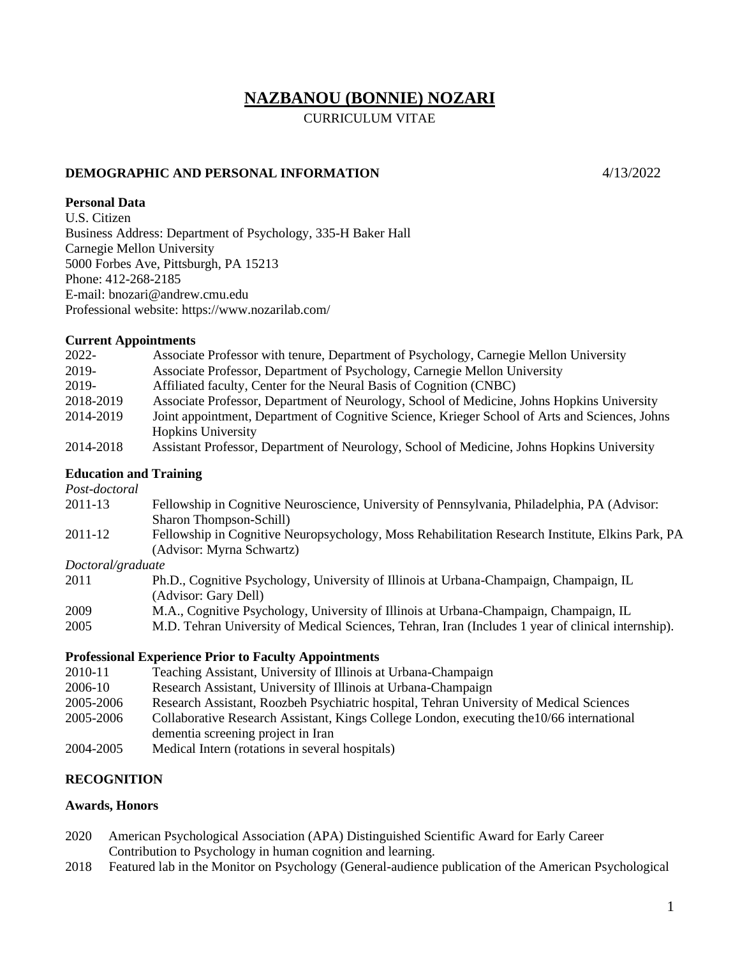# **NAZBANOU (BONNIE) NOZARI**

CURRICULUM VITAE

# **DEMOGRAPHIC AND PERSONAL INFORMATION** 4/13/2022

## **Personal Data**

U.S. Citizen Business Address: Department of Psychology, 335-H Baker Hall Carnegie Mellon University 5000 Forbes Ave, Pittsburgh, PA 15213 Phone: 412-268-2185 E-mail: bnozari@andrew.cmu.edu Professional website: https://www.nozarilab.com/

### **Current Appointments**

| 2022-     | Associate Professor with tenure, Department of Psychology, Carnegie Mellon University          |
|-----------|------------------------------------------------------------------------------------------------|
| 2019-     | Associate Professor, Department of Psychology, Carnegie Mellon University                      |
| 2019-     | Affiliated faculty, Center for the Neural Basis of Cognition (CNBC)                            |
| 2018-2019 | Associate Professor, Department of Neurology, School of Medicine, Johns Hopkins University     |
| 2014-2019 | Joint appointment, Department of Cognitive Science, Krieger School of Arts and Sciences, Johns |
|           | <b>Hopkins University</b>                                                                      |
| 2014-2018 | Assistant Professor, Department of Neurology, School of Medicine, Johns Hopkins University     |

### **Education and Training**

*Post-doctoral*

| 2011-13 | Fellowship in Cognitive Neuroscience, University of Pennsylvania, Philadelphia, PA (Advisor:     |
|---------|--------------------------------------------------------------------------------------------------|
|         | Sharon Thompson-Schill                                                                           |
| 2011-12 | Fellowship in Cognitive Neuropsychology, Moss Rehabilitation Research Institute, Elkins Park, PA |
|         | (Advisor: Myrna Schwartz)                                                                        |

### *Doctoral/graduate*

| Ph.D., Cognitive Psychology, University of Illinois at Urbana-Champaign, Champaign, IL             |
|----------------------------------------------------------------------------------------------------|
|                                                                                                    |
| M.A., Cognitive Psychology, University of Illinois at Urbana-Champaign, Champaign, IL              |
| M.D. Tehran University of Medical Sciences, Tehran, Iran (Includes 1 year of clinical internship). |
|                                                                                                    |

### **Professional Experience Prior to Faculty Appointments**

| 2010-11   | Teaching Assistant, University of Illinois at Urbana-Champaign                            |
|-----------|-------------------------------------------------------------------------------------------|
| 2006-10   | Research Assistant, University of Illinois at Urbana-Champaign                            |
| 2005-2006 | Research Assistant, Roozbeh Psychiatric hospital, Tehran University of Medical Sciences   |
| 2005-2006 | Collaborative Research Assistant, Kings College London, executing the 10/66 international |
|           | dementia screening project in Iran                                                        |
| 2004-2005 | Medical Intern (rotations in several hospitals)                                           |

# **RECOGNITION**

## **Awards, Honors**

- 2020 American Psychological Association (APA) Distinguished Scientific Award for Early Career Contribution to Psychology in human cognition and learning.
- 2018 Featured lab in the Monitor on Psychology (General-audience publication of the American Psychological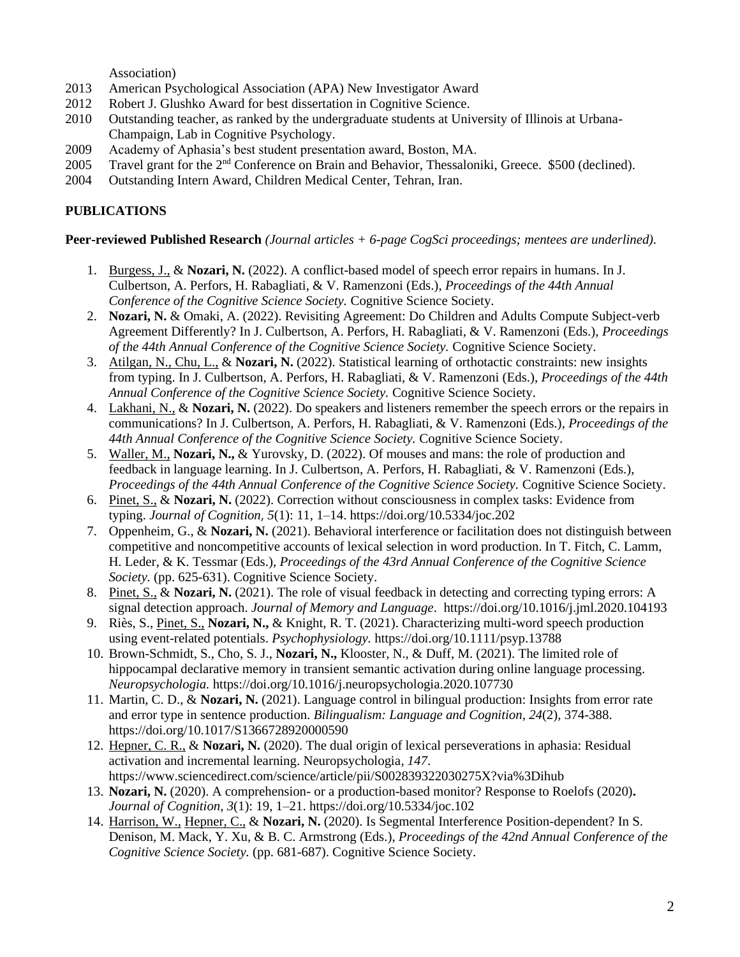Association)

- 2013 American Psychological Association (APA) New Investigator Award
- 2012 Robert J. Glushko Award for best dissertation in Cognitive Science.
- 2010 Outstanding teacher, as ranked by the undergraduate students at University of Illinois at Urbana-Champaign, Lab in Cognitive Psychology.
- 2009 Academy of Aphasia's best student presentation award, Boston, MA.
- 2005 Travel grant for the 2nd Conference on Brain and Behavior, Thessaloniki, Greece. \$500 (declined).
- 2004 Outstanding Intern Award, Children Medical Center, Tehran, Iran.

# **PUBLICATIONS**

## **Peer-reviewed Published Research** *(Journal articles + 6-page CogSci proceedings; mentees are underlined).*

- 1. Burgess, J., & **Nozari, N.** (2022). A conflict-based model of speech error repairs in humans. In J. Culbertson, A. Perfors, H. Rabagliati, & V. Ramenzoni (Eds.), *Proceedings of the 44th Annual Conference of the Cognitive Science Society.* Cognitive Science Society.
- 2. **Nozari, N.** & Omaki, A. (2022). Revisiting Agreement: Do Children and Adults Compute Subject-verb Agreement Differently? In J. Culbertson, A. Perfors, H. Rabagliati, & V. Ramenzoni (Eds.), *Proceedings of the 44th Annual Conference of the Cognitive Science Society.* Cognitive Science Society.
- 3. Atilgan, N., Chu, L., & **Nozari, N.** (2022). Statistical learning of orthotactic constraints: new insights from typing. In J. Culbertson, A. Perfors, H. Rabagliati, & V. Ramenzoni (Eds.), *Proceedings of the 44th Annual Conference of the Cognitive Science Society.* Cognitive Science Society.
- 4. Lakhani, N., & **Nozari, N.** (2022). Do speakers and listeners remember the speech errors or the repairs in communications? In J. Culbertson, A. Perfors, H. Rabagliati, & V. Ramenzoni (Eds.), *Proceedings of the 44th Annual Conference of the Cognitive Science Society.* Cognitive Science Society.
- 5. Waller, M., **Nozari, N.,** & Yurovsky, D. (2022). Of mouses and mans: the role of production and feedback in language learning. In J. Culbertson, A. Perfors, H. Rabagliati, & V. Ramenzoni (Eds.), *Proceedings of the 44th Annual Conference of the Cognitive Science Society.* Cognitive Science Society.
- 6. Pinet, S., & **Nozari, N.** (2022). Correction without consciousness in complex tasks: Evidence from typing. *Journal of Cognition*, *5*(1): 11, 1–14. https://doi.org/10.5334/joc.202
- 7. Oppenheim, G., & **Nozari, N.** (2021). Behavioral interference or facilitation does not distinguish between competitive and noncompetitive accounts of lexical selection in word production. In T. Fitch, C. Lamm, H. Leder, & K. Tessmar (Eds.), *Proceedings of the 43rd Annual Conference of the Cognitive Science Society.* (pp. 625-631). Cognitive Science Society.
- 8. Pinet, S., & **Nozari, N.** (2021). The role of visual feedback in detecting and correcting typing errors: A signal detection approach. *Journal of Memory and Language*. https://doi.org/10.1016/j.jml.2020.104193
- 9. Riès, S., Pinet, S., **Nozari, N.,** & Knight, R. T. (2021). Characterizing multi-word speech production using event-related potentials. *Psychophysiology.* https://doi.org/10.1111/psyp.13788
- 10. Brown-Schmidt, S., Cho, S. J., **Nozari, N.,** Klooster, N., & Duff, M. (2021). The limited role of hippocampal declarative memory in transient semantic activation during online language processing. *Neuropsychologia.* https://doi.org/10.1016/j.neuropsychologia.2020.107730
- 11. Martin, C. D., & **Nozari, N.** (2021). Language control in bilingual production: Insights from error rate and error type in sentence production. *Bilingualism: Language and Cognition, 24*(2), 374-388. https://doi.org/10.1017/S1366728920000590
- 12. Hepner, C. R., & **Nozari, N.** (2020). The dual origin of lexical perseverations in aphasia: Residual activation and incremental learning. Neuropsychologia*, 147*. https://www.sciencedirect.com/science/article/pii/S002839322030275X?via%3Dihub
- 13. **Nozari, N.** (2020). A comprehension- or a production-based monitor? Response to Roelofs (2020)**.**  *Journal of Cognition, 3*(1): 19, 1–21. https://doi.org/10.5334/joc.102
- 14. Harrison, W., Hepner, C., & **Nozari, N.** (2020). Is Segmental Interference Position-dependent? In S. Denison, M. Mack, Y. Xu, & B. C. Armstrong (Eds.), *Proceedings of the 42nd Annual Conference of the Cognitive Science Society.* (pp. 681-687). Cognitive Science Society.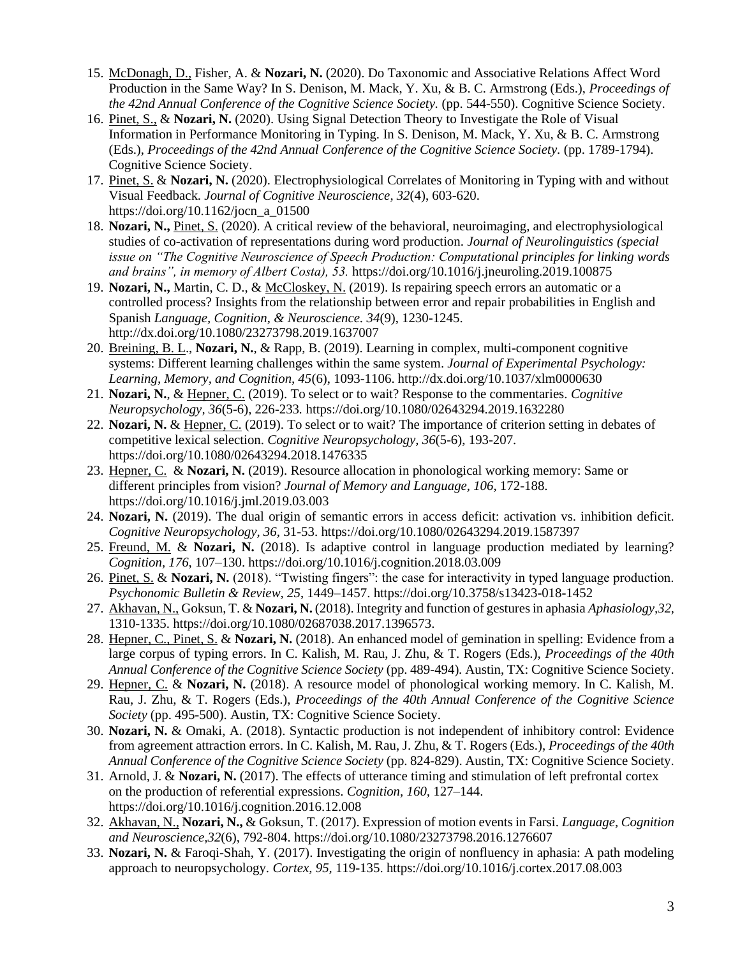- 15. McDonagh, D., Fisher, A. & **Nozari, N.** (2020). Do Taxonomic and Associative Relations Affect Word Production in the Same Way? In S. Denison, M. Mack, Y. Xu, & B. C. Armstrong (Eds.), *Proceedings of the 42nd Annual Conference of the Cognitive Science Society.* (pp. 544-550). Cognitive Science Society.
- 16. Pinet, S., & **Nozari, N.** (2020). Using Signal Detection Theory to Investigate the Role of Visual Information in Performance Monitoring in Typing. In S. Denison, M. Mack, Y. Xu, & B. C. Armstrong (Eds.), *Proceedings of the 42nd Annual Conference of the Cognitive Science Society.* (pp. 1789-1794). Cognitive Science Society.
- 17. Pinet, S. & **Nozari, N.** (2020). Electrophysiological Correlates of Monitoring in Typing with and without Visual Feedback. *Journal of Cognitive Neuroscience, 32*(4), 603-620. https://doi.org/10.1162/jocn\_a\_01500
- 18. **Nozari, N.,** Pinet, S. (2020). A critical review of the behavioral, neuroimaging, and electrophysiological studies of co-activation of representations during word production. *Journal of Neurolinguistics (special issue on "The Cognitive Neuroscience of Speech Production: Computational principles for linking words and brains", in memory of Albert Costa), 53.* https://doi.org/10.1016/j.jneuroling.2019.100875
- 19. **Nozari, N.,** Martin, C. D., & McCloskey, N. (2019). Is repairing speech errors an automatic or a controlled process? Insights from the relationship between error and repair probabilities in English and Spanish *Language, Cognition, & Neuroscience. 34*(9), 1230-1245. http://dx.doi.org/10.1080/23273798.2019.1637007
- 20. Breining, B. L., **Nozari, N.**, & Rapp, B. (2019). Learning in complex, multi-component cognitive systems: Different learning challenges within the same system. *Journal of Experimental Psychology: Learning, Memory, and Cognition, 45*(6), 1093-1106. http://dx.doi.org/10.1037/xlm0000630
- 21. **Nozari, N.**, & Hepner, C. (2019). To select or to wait? Response to the commentaries. *Cognitive Neuropsychology, 36*(5-6), 226-233*.* https://doi.org/10.1080/02643294.2019.1632280
- 22. **Nozari, N.** & Hepner, C. (2019). To select or to wait? The importance of criterion setting in debates of competitive lexical selection. *Cognitive Neuropsychology, 36*(5-6), 193-207. https://doi.org/10.1080/02643294.2018.1476335
- 23. Hepner, C. & **Nozari, N.** (2019). Resource allocation in phonological working memory: Same or different principles from vision? *Journal of Memory and Language, 106,* 172-188. https://doi.org/10.1016/j.jml.2019.03.003
- 24. **Nozari, N.** (2019). The dual origin of semantic errors in access deficit: activation vs. inhibition deficit. *Cognitive Neuropsychology, 36,* 31-53. https://doi.org/10.1080/02643294.2019.1587397
- 25. Freund, M. & **Nozari, N.** (2018). Is adaptive control in language production mediated by learning? *Cognition, 176*, 107–130. https://doi.org/10.1016/j.cognition.2018.03.009
- 26. Pinet, S. & **Nozari, N.** (2018). "Twisting fingers": the case for interactivity in typed language production. *Psychonomic Bulletin & Review, 25*, 1449–1457. https://doi.org/10.3758/s13423-018-1452
- 27. Akhavan, N., Goksun, T. & **Nozari, N.** (2018). Integrity and function of gestures in aphasia *Aphasiology,32,*  1310-1335. https://doi.org/10.1080/02687038.2017.1396573.
- 28. Hepner, C., Pinet, S. & **Nozari, N.** (2018). An enhanced model of gemination in spelling: Evidence from a large corpus of typing errors. In C. Kalish, M. Rau, J. Zhu, & T. Rogers (Eds.), *Proceedings of the 40th Annual Conference of the Cognitive Science Society* (pp. 489-494)*.* Austin, TX: Cognitive Science Society.
- 29. Hepner, C. & **Nozari, N.** (2018). A resource model of phonological working memory. In C. Kalish, M. Rau, J. Zhu, & T. Rogers (Eds.), *Proceedings of the 40th Annual Conference of the Cognitive Science Society* (pp. 495-500). Austin, TX: Cognitive Science Society.
- 30. **Nozari, N.** & Omaki, A. (2018). Syntactic production is not independent of inhibitory control: Evidence from agreement attraction errors. In C. Kalish, M. Rau, J. Zhu, & T. Rogers (Eds.), *Proceedings of the 40th Annual Conference of the Cognitive Science Society* (pp. 824-829). Austin, TX: Cognitive Science Society.
- 31. Arnold, J. & **Nozari, N.** (2017). The effects of utterance timing and stimulation of left prefrontal cortex on the production of referential expressions. *Cognition, 160,* 127–144. https://doi.org/10.1016/j.cognition.2016.12.008
- 32. Akhavan, N., **Nozari, N.,** & Goksun, T. (2017). Expression of motion events in Farsi. *Language, Cognition and Neuroscience,32*(6), 792-804. https://doi.org/10.1080/23273798.2016.1276607
- 33. **Nozari, N.** & Faroqi-Shah, Y. (2017). Investigating the origin of nonfluency in aphasia: A path modeling approach to neuropsychology. *Cortex, 95,* 119-135. https://doi.org/10.1016/j.cortex.2017.08.003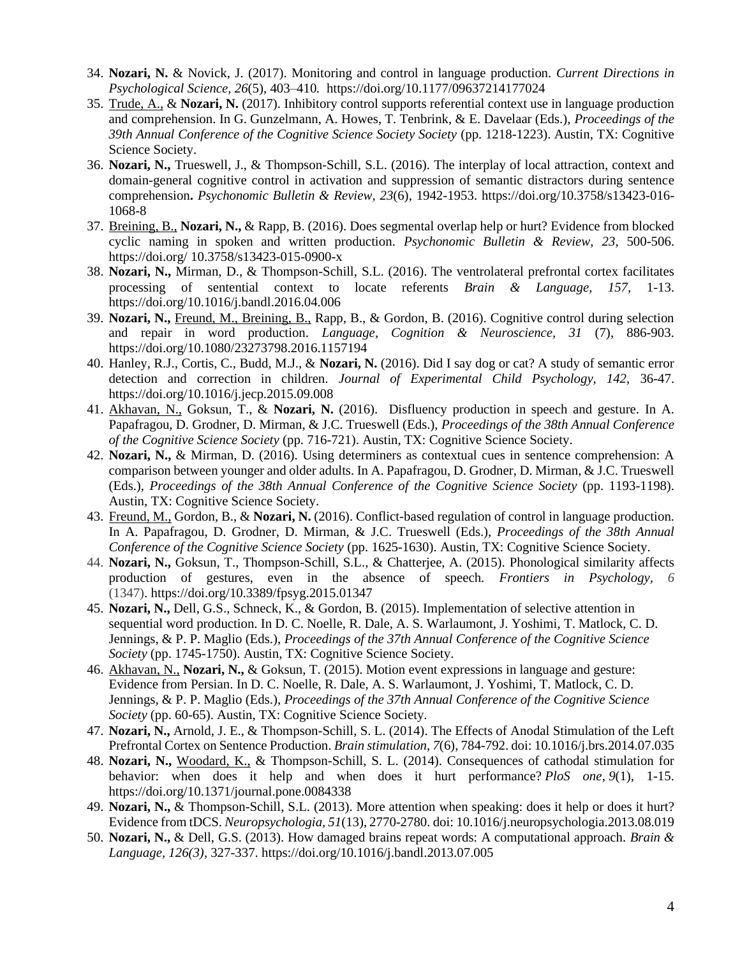- 34. **Nozari, N.** & Novick, J. (2017). Monitoring and control in language production. *Current Directions in Psychological Science, 26*(5), 403–410*.* https://doi.org/10.1177/09637214177024
- 35. Trude, A., & **Nozari, N.** (2017). Inhibitory control supports referential context use in language production and comprehension. In G. Gunzelmann, A. Howes, T. Tenbrink, & E. Davelaar (Eds.), *Proceedings of the 39th Annual Conference of the Cognitive Science Society Society* (pp. 1218-1223). Austin, TX: Cognitive Science Society.
- 36. **Nozari, N.,** Trueswell, J., & Thompson-Schill, S.L. (2016). The interplay of local attraction, context and domain-general cognitive control in activation and suppression of semantic distractors during sentence comprehension**.** *Psychonomic Bulletin & Review, 23*(6), 1942-1953. https://doi.org/10.3758/s13423-016- 1068-8
- 37. Breining, B., **Nozari, N.,** & Rapp, B. (2016). Does segmental overlap help or hurt? Evidence from blocked cyclic naming in spoken and written production. *Psychonomic Bulletin & Review*, *23,* 500-506. https://doi.org/ 10.3758/s13423-015-0900-x
- 38. **Nozari, N.,** Mirman, D., & Thompson-Schill, S.L. (2016). The ventrolateral prefrontal cortex facilitates processing of sentential context to locate referents *Brain & Language, 157,* 1-13. https://doi.org/10.1016/j.bandl.2016.04.006
- 39. **Nozari, N.,** Freund, M., Breining, B., Rapp, B., & Gordon, B. (2016). Cognitive control during selection and repair in word production. *Language, Cognition & Neuroscience, 31* (7), 886-903. https://doi.org/10.1080/23273798.2016.1157194
- 40. Hanley, R.J., Cortis, C., Budd, M.J., & **Nozari, N.** (2016). Did I say dog or cat? A study of semantic error detection and correction in children. *Journal of Experimental Child Psychology, 142,* 36-47. https://doi.org/10.1016/j.jecp.2015.09.008
- 41. Akhavan, N., Goksun, T., & **Nozari, N.** (2016). Disfluency production in speech and gesture. In A. Papafragou, D. Grodner, D. Mirman, & J.C. Trueswell (Eds.), *Proceedings of the 38th Annual Conference of the Cognitive Science Society* (pp. 716-721). Austin, TX: Cognitive Science Society.
- 42. **Nozari, N.,** & Mirman, D. (2016). Using determiners as contextual cues in sentence comprehension: A comparison between younger and older adults. In A. Papafragou, D. Grodner, D. Mirman, & J.C. Trueswell (Eds.), *Proceedings of the 38th Annual Conference of the Cognitive Science Society* (pp. 1193-1198). Austin, TX: Cognitive Science Society.
- 43. Freund, M., Gordon, B., & **Nozari, N.** (2016). Conflict-based regulation of control in language production. In A. Papafragou, D. Grodner, D. Mirman, & J.C. Trueswell (Eds.), *Proceedings of the 38th Annual Conference of the Cognitive Science Society* (pp. 1625-1630). Austin, TX: Cognitive Science Society.
- 44. **Nozari, N.,** Goksun, T., Thompson-Schill, S.L., & Chatterjee, A. (2015). Phonological similarity affects production of gestures, even in the absence of speech. *Frontiers in Psychology, 6* (1347). https://doi.org/10.3389/fpsyg.2015.01347
- 45. **Nozari, N.,** Dell, G.S., Schneck, K., & Gordon, B. (2015). Implementation of selective attention in sequential word production. In D. C. Noelle, R. Dale, A. S. Warlaumont, J. Yoshimi, T. Matlock, C. D. Jennings, & P. P. Maglio (Eds.), *Proceedings of the 37th Annual Conference of the Cognitive Science Society* (pp. 1745-1750). Austin, TX: Cognitive Science Society.
- 46. Akhavan, N., **Nozari, N.,** & Goksun, T. (2015). Motion event expressions in language and gesture: Evidence from Persian. In D. C. Noelle, R. Dale, A. S. Warlaumont, J. Yoshimi, T. Matlock, C. D. Jennings, & P. P. Maglio (Eds.), *Proceedings of the 37th Annual Conference of the Cognitive Science Society* (pp. 60-65). Austin, TX: Cognitive Science Society.
- 47. **Nozari, N.,** Arnold, J. E., & Thompson-Schill, S. L. (2014). The Effects of Anodal Stimulation of the Left Prefrontal Cortex on Sentence Production. *Brain stimulation*, *7*(6), 784-792. doi: 10.1016/j.brs.2014.07.035
- 48. **Nozari, N.,** Woodard, K., & Thompson-Schill, S. L. (2014). Consequences of cathodal stimulation for behavior: when does it help and when does it hurt performance? *PloS one*, *9*(1), 1-15. https://doi.org/10.1371/journal.pone.0084338
- 49. **Nozari, N.,** & Thompson-Schill, S.L. (2013). More attention when speaking: does it help or does it hurt? Evidence from tDCS. *Neuropsychologia, 51*(13), 2770-2780. doi: 10.1016/j.neuropsychologia.2013.08.019
- 50. **Nozari, N.,** & Dell, G.S. (2013). How damaged brains repeat words: A computational approach. *Brain & Language, 126(3),* 327-337. https://doi.org/10.1016/j.bandl.2013.07.005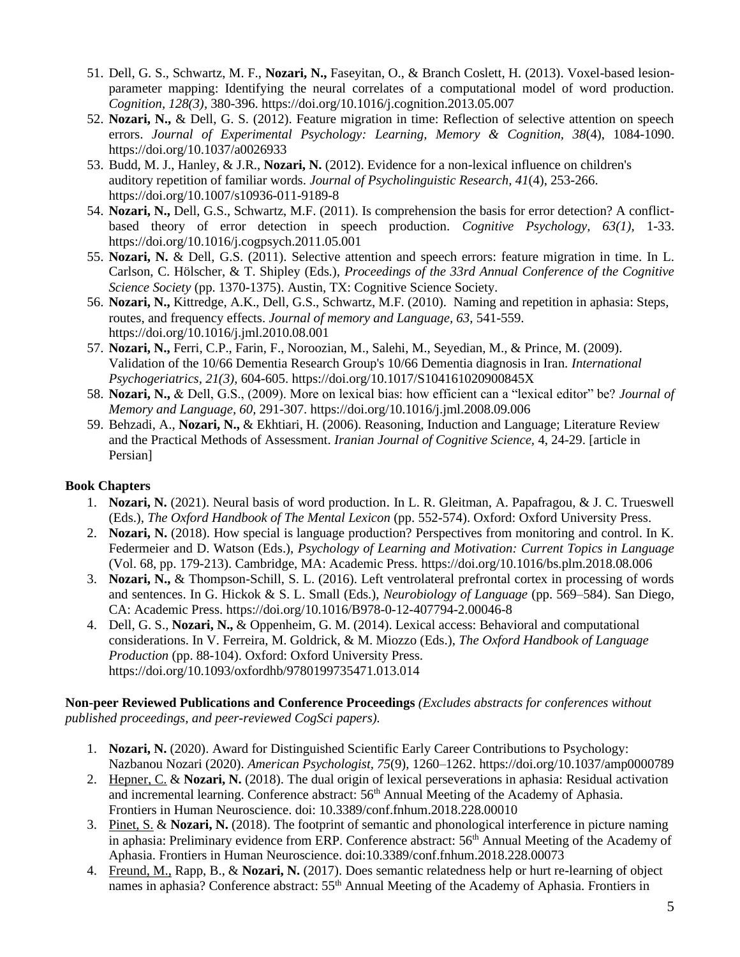- 51. Dell, G. S., Schwartz, M. F., **Nozari, N.,** Faseyitan, O., & Branch Coslett, H. (2013). Voxel-based lesionparameter mapping: Identifying the neural correlates of a computational model of word production. *Cognition, 128(3),* 380-396. https://doi.org/10.1016/j.cognition.2013.05.007
- 52. **Nozari, N.,** & Dell, G. S. (2012). Feature migration in time: Reflection of selective attention on speech errors. *Journal of Experimental Psychology: Learning, Memory & Cognition, 38*(4), 1084-1090. https://doi.org/10.1037/a0026933
- 53. Budd, M. J., Hanley, & J.R., **Nozari, N.** (2012). Evidence for a non-lexical influence on children's auditory repetition of familiar words. *Journal of Psycholinguistic Research, 41*(4), 253-266. https://doi.org/10.1007/s10936-011-9189-8
- 54. **Nozari, N.,** Dell, G.S., Schwartz, M.F. (2011). Is comprehension the basis for error detection? A conflictbased theory of error detection in speech production. *Cognitive Psychology, 63(1),* 1-33. https://doi.org/10.1016/j.cogpsych.2011.05.001
- 55. **Nozari, N.** & Dell, G.S. (2011). Selective attention and speech errors: feature migration in time. In L. Carlson, C. Hölscher, & T. Shipley (Eds.), *Proceedings of the 33rd Annual Conference of the Cognitive Science Society* (pp. 1370-1375). Austin, TX: Cognitive Science Society.
- 56. **Nozari, N.,** Kittredge, A.K., Dell, G.S., Schwartz, M.F. (2010). Naming and repetition in aphasia: Steps, routes, and frequency effects. *Journal of memory and Language, 63*, 541-559. https://doi.org/10.1016/j.jml.2010.08.001
- 57. **Nozari, N.,** Ferri, C.P., Farin, F., Noroozian, M., Salehi, M., Seyedian, M., & Prince, M. (2009). Validation of the 10/66 Dementia Research Group's 10/66 Dementia diagnosis in Iran. *International Psychogeriatrics, 21(3),* 604-605. https://doi.org/10.1017/S104161020900845X
- 58. **Nozari, N.,** & Dell, G.S., (2009). More on lexical bias: how efficient can a "lexical editor" be? *Journal of Memory and Language, 60,* 291-307. https://doi.org/10.1016/j.jml.2008.09.006
- 59. Behzadi, A., **Nozari, N.,** & Ekhtiari, H. (2006). Reasoning, Induction and Language; Literature Review and the Practical Methods of Assessment. *Iranian Journal of Cognitive Science,* 4, 24-29. [article in Persian]

# **Book Chapters**

- 1. **Nozari, N.** (2021). Neural basis of word production. In L. R. Gleitman, A. Papafragou, & J. C. Trueswell (Eds.), *The Oxford Handbook of The Mental Lexicon* (pp. 552-574). Oxford: Oxford University Press.
- 2. **Nozari, N.** (2018). How special is language production? Perspectives from monitoring and control. In K. Federmeier and D. Watson (Eds.), *Psychology of Learning and Motivation: Current Topics in Language* (Vol. 68, pp. 179-213). Cambridge, MA: Academic Press. https://doi.org/10.1016/bs.plm.2018.08.006
- 3. **Nozari, N.,** & Thompson-Schill, S. L. (2016). Left ventrolateral prefrontal cortex in processing of words and sentences. In G. Hickok & S. L. Small (Eds.), *Neurobiology of Language* (pp. 569–584). San Diego, CA: Academic Press. https://doi.org/10.1016/B978-0-12-407794-2.00046-8
- 4. Dell, G. S., **Nozari, N.,** & Oppenheim, G. M. (2014). Lexical access: Behavioral and computational considerations. In V. Ferreira, M. Goldrick, & M. Miozzo (Eds.), *The Oxford Handbook of Language Production (pp. 88-104). Oxford: Oxford University Press.* https://doi.org/10.1093/oxfordhb/9780199735471.013.014

## **Non-peer Reviewed Publications and Conference Proceedings** *(Excludes abstracts for conferences without published proceedings, and peer-reviewed CogSci papers).*

- 1. **Nozari, N.** (2020). Award for Distinguished Scientific Early Career Contributions to Psychology: Nazbanou Nozari (2020). *American Psychologist, 75*(9), 1260–1262. https://doi.org/10.1037/amp0000789
- 2. Hepner, C. & **Nozari, N.** (2018). The dual origin of lexical perseverations in aphasia: Residual activation and incremental learning. Conference abstract:  $56<sup>th</sup>$  Annual Meeting of the Academy of Aphasia. Frontiers in Human Neuroscience. doi: 10.3389/conf.fnhum.2018.228.00010
- 3. Pinet, S. & **Nozari, N.** (2018). The footprint of semantic and phonological interference in picture naming in aphasia: Preliminary evidence from ERP. Conference abstract: 56<sup>th</sup> Annual Meeting of the Academy of Aphasia. Frontiers in Human Neuroscience. doi:10.3389/conf.fnhum.2018.228.00073
- 4. Freund, M., Rapp, B., & **Nozari, N.** (2017). Does semantic relatedness help or hurt re-learning of object names in aphasia? Conference abstract: 55<sup>th</sup> Annual Meeting of the Academy of Aphasia. Frontiers in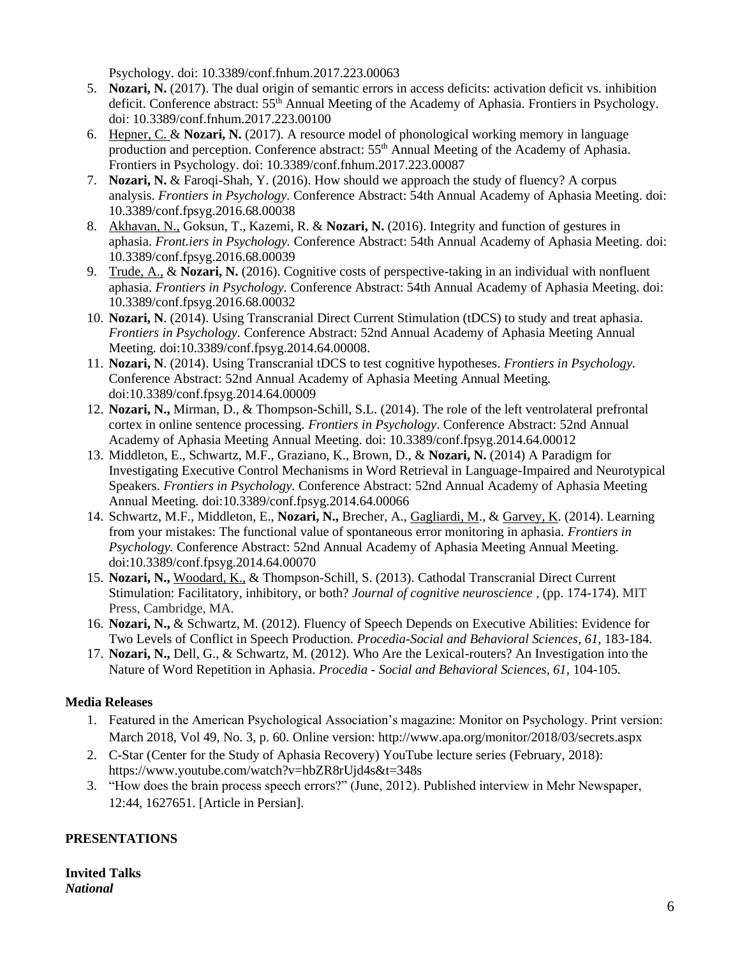Psychology. doi: 10.3389/conf.fnhum.2017.223.00063

- 5. **Nozari, N.** (2017). The dual origin of semantic errors in access deficits: activation deficit vs. inhibition deficit. Conference abstract: 55<sup>th</sup> Annual Meeting of the Academy of Aphasia. Frontiers in Psychology. doi: 10.3389/conf.fnhum.2017.223.00100
- 6. Hepner, C. & **Nozari, N.** (2017). A resource model of phonological working memory in language production and perception. Conference abstract: 55<sup>th</sup> Annual Meeting of the Academy of Aphasia. Frontiers in Psychology. doi: 10.3389/conf.fnhum.2017.223.00087
- 7. **Nozari, N.** & Faroqi-Shah, Y. (2016). How should we approach the study of fluency? A corpus analysis. *Frontiers in Psychology.* Conference Abstract: 54th Annual Academy of Aphasia Meeting. doi: 10.3389/conf.fpsyg.2016.68.00038
- 8. Akhavan, N., Goksun, T., Kazemi, R. & **Nozari, N.** (2016). Integrity and function of gestures in aphasia. *Front.iers in Psychology.* Conference Abstract: 54th Annual Academy of Aphasia Meeting. doi: 10.3389/conf.fpsyg.2016.68.00039
- 9. Trude, A., & **Nozari, N.** (2016). Cognitive costs of perspective-taking in an individual with nonfluent aphasia. *Frontiers in Psychology.* Conference Abstract: 54th Annual Academy of Aphasia Meeting. doi: 10.3389/conf.fpsyg.2016.68.00032
- 10. **Nozari, N**. (2014). Using Transcranial Direct Current Stimulation (tDCS) to study and treat aphasia. *Frontiers in Psychology.* Conference Abstract: 52nd Annual Academy of Aphasia Meeting Annual Meeting*.* doi:10.3389/conf.fpsyg.2014.64.00008.
- 11. **Nozari, N**. (2014). Using Transcranial tDCS to test cognitive hypotheses. *Frontiers in Psychology.* Conference Abstract: 52nd Annual Academy of Aphasia Meeting Annual Meeting*.* doi:10.3389/conf.fpsyg.2014.64.00009
- 12. **Nozari, N.,** Mirman, D., & Thompson-Schill, S.L. (2014). The role of the left ventrolateral prefrontal cortex in online sentence processing. *Frontiers in Psychology*. Conference Abstract: 52nd Annual Academy of Aphasia Meeting Annual Meeting. doi: 10.3389/conf.fpsyg.2014.64.00012
- 13. Middleton, E., Schwartz, M.F., Graziano, K., Brown, D., & **Nozari, N.** (2014) A Paradigm for Investigating Executive Control Mechanisms in Word Retrieval in Language-Impaired and Neurotypical Speakers. *Frontiers in Psychology.* Conference Abstract: 52nd Annual Academy of Aphasia Meeting Annual Meeting*.* doi:10.3389/conf.fpsyg.2014.64.00066
- 14. Schwartz, M.F., Middleton, E., **Nozari, N.,** Brecher, A., Gagliardi, M., & Garvey, K. (2014). Learning from your mistakes: The functional value of spontaneous error monitoring in aphasia. *Frontiers in Psychology.* Conference Abstract: 52nd Annual Academy of Aphasia Meeting Annual Meeting*.* doi:10.3389/conf.fpsyg.2014.64.00070
- 15. **Nozari, N.,** Woodard, K., & Thompson-Schill, S. (2013). Cathodal Transcranial Direct Current Stimulation: Facilitatory, inhibitory, or both? *Journal of cognitive neuroscience* , (pp. 174-174). MIT Press, Cambridge, MA.
- 16. **Nozari, N.,** & Schwartz, M. (2012). Fluency of Speech Depends on Executive Abilities: Evidence for Two Levels of Conflict in Speech Production. *Procedia-Social and Behavioral Sciences*, *61*, 183-184.
- 17. **Nozari, N.,** Dell, G., & Schwartz, M. (2012). Who Are the Lexical-routers? An Investigation into the Nature of Word Repetition in Aphasia. *Procedia - Social and Behavioral Sciences, 61,* 104-105*.*

# **Media Releases**

- 1. Featured in the American Psychological Association's magazine: Monitor on Psychology. Print version: March 2018, Vol 49, No. 3, p. 60. Online version: http://www.apa.org/monitor/2018/03/secrets.aspx
- 2. C-Star (Center for the Study of Aphasia Recovery) YouTube lecture series (February, 2018): https://www.youtube.com/watch?v=hbZR8rUjd4s&t=348s
- 3. "How does the brain process speech errors?" (June, 2012). Published interview in Mehr Newspaper, 12:44, 1627651. [Article in Persian].

# **PRESENTATIONS**

**Invited Talks**  *National*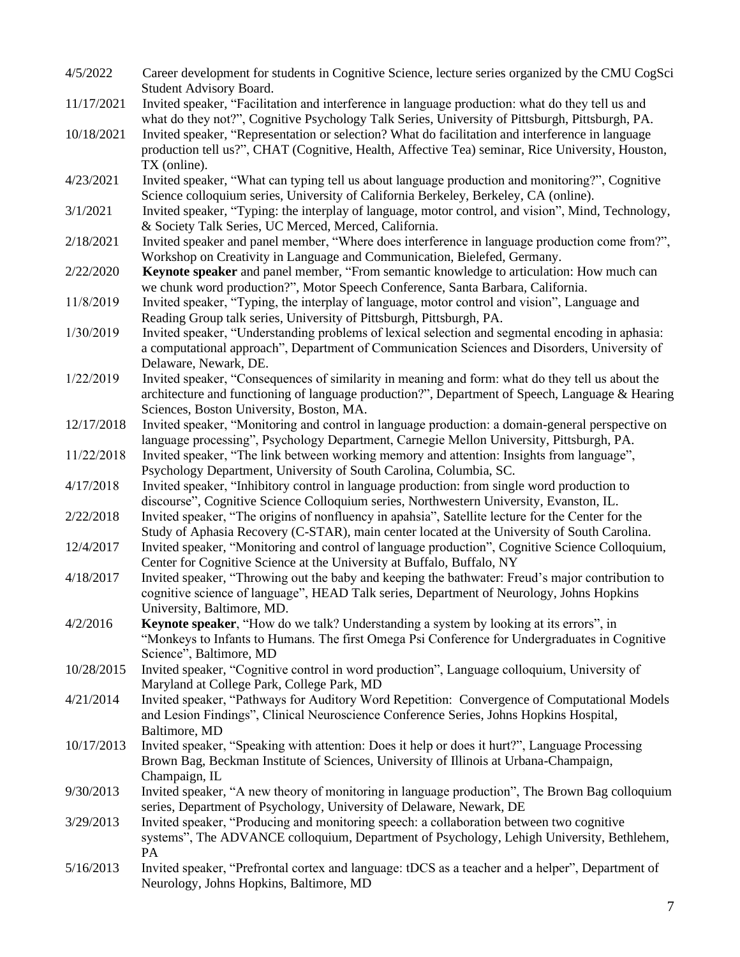| 4/5/2022   | Career development for students in Cognitive Science, lecture series organized by the CMU CogSci<br>Student Advisory Board.                                                                                                                     |
|------------|-------------------------------------------------------------------------------------------------------------------------------------------------------------------------------------------------------------------------------------------------|
| 11/17/2021 | Invited speaker, "Facilitation and interference in language production: what do they tell us and<br>what do they not?", Cognitive Psychology Talk Series, University of Pittsburgh, Pittsburgh, PA.                                             |
| 10/18/2021 | Invited speaker, "Representation or selection? What do facilitation and interference in language<br>production tell us?", CHAT (Cognitive, Health, Affective Tea) seminar, Rice University, Houston,<br>TX (online).                            |
| 4/23/2021  | Invited speaker, "What can typing tell us about language production and monitoring?", Cognitive<br>Science colloquium series, University of California Berkeley, Berkeley, CA (online).                                                         |
| 3/1/2021   | Invited speaker, "Typing: the interplay of language, motor control, and vision", Mind, Technology,<br>& Society Talk Series, UC Merced, Merced, California.                                                                                     |
| 2/18/2021  | Invited speaker and panel member, "Where does interference in language production come from?",<br>Workshop on Creativity in Language and Communication, Bielefed, Germany.                                                                      |
| 2/22/2020  | Keynote speaker and panel member, "From semantic knowledge to articulation: How much can<br>we chunk word production?", Motor Speech Conference, Santa Barbara, California.                                                                     |
| 11/8/2019  | Invited speaker, "Typing, the interplay of language, motor control and vision", Language and<br>Reading Group talk series, University of Pittsburgh, Pittsburgh, PA.                                                                            |
| 1/30/2019  | Invited speaker, "Understanding problems of lexical selection and segmental encoding in aphasia:<br>a computational approach", Department of Communication Sciences and Disorders, University of<br>Delaware, Newark, DE.                       |
| 1/22/2019  | Invited speaker, "Consequences of similarity in meaning and form: what do they tell us about the<br>architecture and functioning of language production?", Department of Speech, Language & Hearing<br>Sciences, Boston University, Boston, MA. |
| 12/17/2018 | Invited speaker, "Monitoring and control in language production: a domain-general perspective on<br>language processing", Psychology Department, Carnegie Mellon University, Pittsburgh, PA.                                                    |
| 11/22/2018 | Invited speaker, "The link between working memory and attention: Insights from language",<br>Psychology Department, University of South Carolina, Columbia, SC.                                                                                 |
| 4/17/2018  | Invited speaker, "Inhibitory control in language production: from single word production to<br>discourse", Cognitive Science Colloquium series, Northwestern University, Evanston, IL.                                                          |
| 2/22/2018  | Invited speaker, "The origins of nonfluency in apahsia", Satellite lecture for the Center for the<br>Study of Aphasia Recovery (C-STAR), main center located at the University of South Carolina.                                               |
| 12/4/2017  | Invited speaker, "Monitoring and control of language production", Cognitive Science Colloquium,<br>Center for Cognitive Science at the University at Buffalo, Buffalo, NY                                                                       |
| 4/18/2017  | Invited speaker, "Throwing out the baby and keeping the bathwater: Freud's major contribution to<br>cognitive science of language", HEAD Talk series, Department of Neurology, Johns Hopkins<br>University, Baltimore, MD.                      |
| 4/2/2016   | Keynote speaker, "How do we talk? Understanding a system by looking at its errors", in<br>"Monkeys to Infants to Humans. The first Omega Psi Conference for Undergraduates in Cognitive<br>Science", Baltimore, MD                              |
| 10/28/2015 | Invited speaker, "Cognitive control in word production", Language colloquium, University of<br>Maryland at College Park, College Park, MD                                                                                                       |
| 4/21/2014  | Invited speaker, "Pathways for Auditory Word Repetition: Convergence of Computational Models<br>and Lesion Findings", Clinical Neuroscience Conference Series, Johns Hopkins Hospital,<br>Baltimore, MD                                         |
| 10/17/2013 | Invited speaker, "Speaking with attention: Does it help or does it hurt?", Language Processing<br>Brown Bag, Beckman Institute of Sciences, University of Illinois at Urbana-Champaign,<br>Champaign, IL                                        |
| 9/30/2013  | Invited speaker, "A new theory of monitoring in language production", The Brown Bag colloquium<br>series, Department of Psychology, University of Delaware, Newark, DE                                                                          |
| 3/29/2013  | Invited speaker, "Producing and monitoring speech: a collaboration between two cognitive<br>systems", The ADVANCE colloquium, Department of Psychology, Lehigh University, Bethlehem,<br>PA                                                     |
| 5/16/2013  | Invited speaker, "Prefrontal cortex and language: tDCS as a teacher and a helper", Department of<br>Neurology, Johns Hopkins, Baltimore, MD                                                                                                     |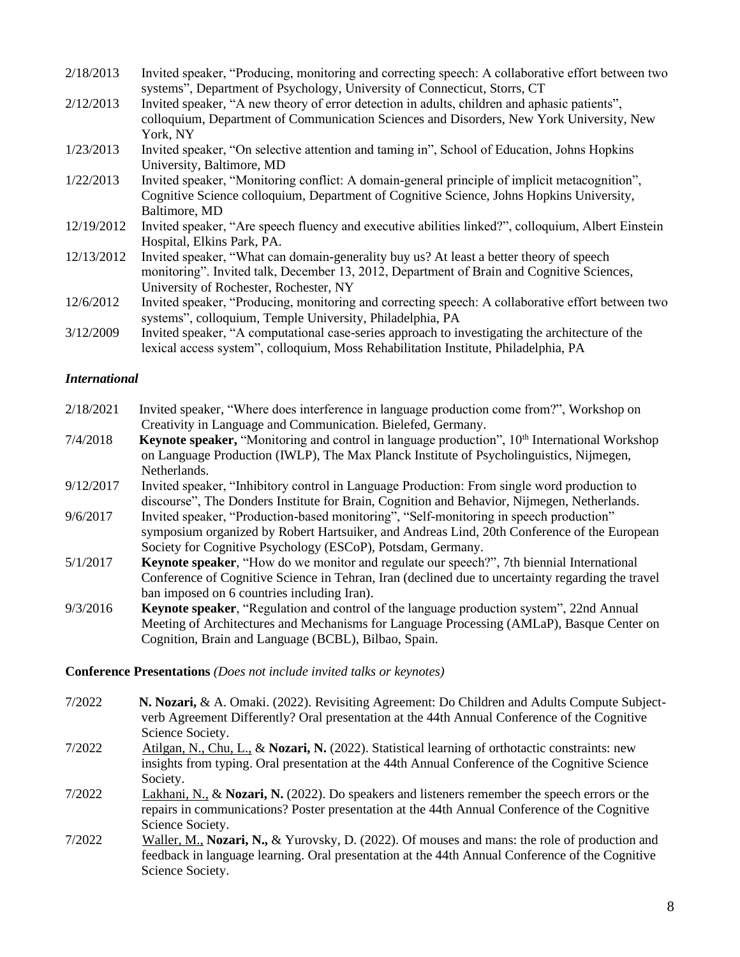| 2/18/2013  | Invited speaker, "Producing, monitoring and correcting speech: A collaborative effort between two  |
|------------|----------------------------------------------------------------------------------------------------|
|            | systems", Department of Psychology, University of Connecticut, Storrs, CT                          |
| 2/12/2013  | Invited speaker, "A new theory of error detection in adults, children and aphasic patients",       |
|            | colloquium, Department of Communication Sciences and Disorders, New York University, New           |
|            | York, NY                                                                                           |
| 1/23/2013  | Invited speaker, "On selective attention and taming in", School of Education, Johns Hopkins        |
|            | University, Baltimore, MD                                                                          |
| 1/22/2013  | Invited speaker, "Monitoring conflict: A domain-general principle of implicit metacognition",      |
|            | Cognitive Science colloquium, Department of Cognitive Science, Johns Hopkins University,           |
|            | Baltimore, MD                                                                                      |
| 12/19/2012 | Invited speaker, "Are speech fluency and executive abilities linked?", colloquium, Albert Einstein |
|            | Hospital, Elkins Park, PA.                                                                         |
| 12/13/2012 | Invited speaker, "What can domain-generality buy us? At least a better theory of speech            |
|            | monitoring". Invited talk, December 13, 2012, Department of Brain and Cognitive Sciences,          |
|            | University of Rochester, Rochester, NY                                                             |
| 12/6/2012  | Invited speaker, "Producing, monitoring and correcting speech: A collaborative effort between two  |
|            | systems", colloquium, Temple University, Philadelphia, PA                                          |
| 2/12/2000  | Invited epocker "A computational case sories approach to investigating the architecture of the     |

3/12/2009 Invited speaker, "A computational case-series approach to investigating the architecture of the lexical access system", colloquium, Moss Rehabilitation Institute, Philadelphia, PA

## *International*

- 2/18/2021 Invited speaker, "Where does interference in language production come from?", Workshop on Creativity in Language and Communication. Bielefed, Germany.
- 7/4/2018 **Keynote speaker,** "Monitoring and control in language production", 10<sup>th</sup> International Workshop on Language Production (IWLP), The Max Planck Institute of Psycholinguistics, Nijmegen, Netherlands.
- 9/12/2017 Invited speaker, "Inhibitory control in Language Production: From single word production to discourse", The Donders Institute for Brain, Cognition and Behavior, Nijmegen, Netherlands.
- 9/6/2017 Invited speaker, "Production-based monitoring", "Self-monitoring in speech production" symposium organized by Robert Hartsuiker, and Andreas Lind, 20th Conference of the European Society for Cognitive Psychology (ESCoP), Potsdam, Germany.
- 5/1/2017 **Keynote speaker**, "How do we monitor and regulate our speech?", 7th biennial International Conference of Cognitive Science in Tehran, Iran (declined due to uncertainty regarding the travel ban imposed on 6 countries including Iran).
- 9/3/2016 **Keynote speaker**, "Regulation and control of the language production system", 22nd Annual Meeting of Architectures and Mechanisms for Language Processing (AMLaP), Basque Center on Cognition, Brain and Language (BCBL), Bilbao, Spain.

#### **Conference Presentations** *(Does not include invited talks or keynotes)*

- 7/2022 **N. Nozari,** & A. Omaki. (2022). Revisiting Agreement: Do Children and Adults Compute Subjectverb Agreement Differently? Oral presentation at the 44th Annual Conference of the Cognitive Science Society.
- 7/2022 Atilgan, N., Chu, L., & **Nozari, N.** (2022). Statistical learning of orthotactic constraints: new insights from typing. Oral presentation at the 44th Annual Conference of the Cognitive Science Society.
- 7/2022 Lakhani, N., & **Nozari, N.** (2022). Do speakers and listeners remember the speech errors or the repairs in communications? Poster presentation at the 44th Annual Conference of the Cognitive Science Society.
- 7/2022 Waller, M., **Nozari, N.,** & Yurovsky, D. (2022). Of mouses and mans: the role of production and feedback in language learning. Oral presentation at the 44th Annual Conference of the Cognitive Science Society.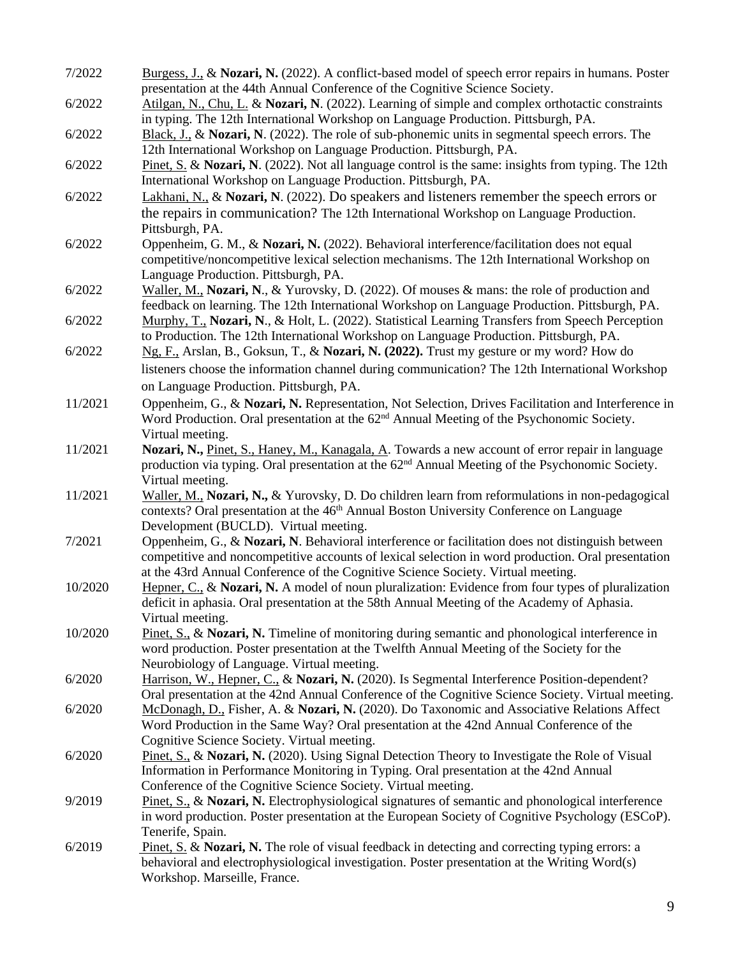| 7/2022  | Burgess, J., & Nozari, N. (2022). A conflict-based model of speech error repairs in humans. Poster                                         |
|---------|--------------------------------------------------------------------------------------------------------------------------------------------|
|         | presentation at the 44th Annual Conference of the Cognitive Science Society.                                                               |
| 6/2022  | Atilgan, N., Chu, L. & Nozari, N. (2022). Learning of simple and complex orthotactic constraints                                           |
|         | in typing. The 12th International Workshop on Language Production. Pittsburgh, PA.                                                         |
| 6/2022  | Black, J., & Nozari, N. (2022). The role of sub-phonemic units in segmental speech errors. The                                             |
|         | 12th International Workshop on Language Production. Pittsburgh, PA.                                                                        |
| 6/2022  | Pinet, S. & Nozari, N. (2022). Not all language control is the same: insights from typing. The 12th                                        |
|         | International Workshop on Language Production. Pittsburgh, PA.                                                                             |
| 6/2022  | Lakhani, N., & Nozari, N. (2022). Do speakers and listeners remember the speech errors or                                                  |
|         | the repairs in communication? The 12th International Workshop on Language Production.                                                      |
|         | Pittsburgh, PA.                                                                                                                            |
| 6/2022  | Oppenheim, G. M., & Nozari, N. (2022). Behavioral interference/facilitation does not equal                                                 |
|         | competitive/noncompetitive lexical selection mechanisms. The 12th International Workshop on                                                |
|         | Language Production. Pittsburgh, PA.                                                                                                       |
| 6/2022  | Waller, M., Nozari, N., & Yurovsky, D. (2022). Of mouses & mans: the role of production and                                                |
|         | feedback on learning. The 12th International Workshop on Language Production. Pittsburgh, PA.                                              |
| 6/2022  | Murphy, T., Nozari, N., & Holt, L. (2022). Statistical Learning Transfers from Speech Perception                                           |
|         | to Production. The 12th International Workshop on Language Production. Pittsburgh, PA.                                                     |
| 6/2022  | Ng, F., Arslan, B., Goksun, T., & Nozari, N. (2022). Trust my gesture or my word? How do                                                   |
|         | listeners choose the information channel during communication? The 12th International Workshop                                             |
|         | on Language Production. Pittsburgh, PA.                                                                                                    |
| 11/2021 | Oppenheim, G., & Nozari, N. Representation, Not Selection, Drives Facilitation and Interference in                                         |
|         | Word Production. Oral presentation at the 62 <sup>nd</sup> Annual Meeting of the Psychonomic Society.                                      |
|         | Virtual meeting.                                                                                                                           |
| 11/2021 | Nozari, N., Pinet, S., Haney, M., Kanagala, A. Towards a new account of error repair in language                                           |
|         | production via typing. Oral presentation at the 62 <sup>nd</sup> Annual Meeting of the Psychonomic Society.                                |
|         | Virtual meeting.                                                                                                                           |
| 11/2021 | Waller, M., Nozari, N., & Yurovsky, D. Do children learn from reformulations in non-pedagogical                                            |
|         | contexts? Oral presentation at the 46 <sup>th</sup> Annual Boston University Conference on Language                                        |
|         | Development (BUCLD). Virtual meeting.                                                                                                      |
| 7/2021  | Oppenheim, G., & Nozari, N. Behavioral interference or facilitation does not distinguish between                                           |
|         | competitive and noncompetitive accounts of lexical selection in word production. Oral presentation                                         |
|         | at the 43rd Annual Conference of the Cognitive Science Society. Virtual meeting.                                                           |
| 10/2020 | Hepner, C., & Nozari, N. A model of noun pluralization: Evidence from four types of pluralization                                          |
|         | deficit in aphasia. Oral presentation at the 58th Annual Meeting of the Academy of Aphasia.                                                |
|         | Virtual meeting.                                                                                                                           |
| 10/2020 | Pinet, S., & Nozari, N. Timeline of monitoring during semantic and phonological interference in                                            |
|         | word production. Poster presentation at the Twelfth Annual Meeting of the Society for the                                                  |
| 6/2020  | Neurobiology of Language. Virtual meeting.<br>Harrison, W., Hepner, C., & Nozari, N. (2020). Is Segmental Interference Position-dependent? |
|         | Oral presentation at the 42nd Annual Conference of the Cognitive Science Society. Virtual meeting.                                         |
| 6/2020  | McDonagh, D., Fisher, A. & Nozari, N. (2020). Do Taxonomic and Associative Relations Affect                                                |
|         | Word Production in the Same Way? Oral presentation at the 42nd Annual Conference of the                                                    |
|         | Cognitive Science Society. Virtual meeting.                                                                                                |
| 6/2020  | Pinet, S., & Nozari, N. (2020). Using Signal Detection Theory to Investigate the Role of Visual                                            |
|         | Information in Performance Monitoring in Typing. Oral presentation at the 42nd Annual                                                      |
|         | Conference of the Cognitive Science Society. Virtual meeting.                                                                              |
| 9/2019  | Pinet, S., & Nozari, N. Electrophysiological signatures of semantic and phonological interference                                          |
|         | in word production. Poster presentation at the European Society of Cognitive Psychology (ESCoP).                                           |
|         | Tenerife, Spain.                                                                                                                           |
| 6/2019  | Pinet, S. & Nozari, N. The role of visual feedback in detecting and correcting typing errors: a                                            |
|         | behavioral and electrophysiological investigation. Poster presentation at the Writing Word(s)                                              |
|         | Workshop. Marseille, France.                                                                                                               |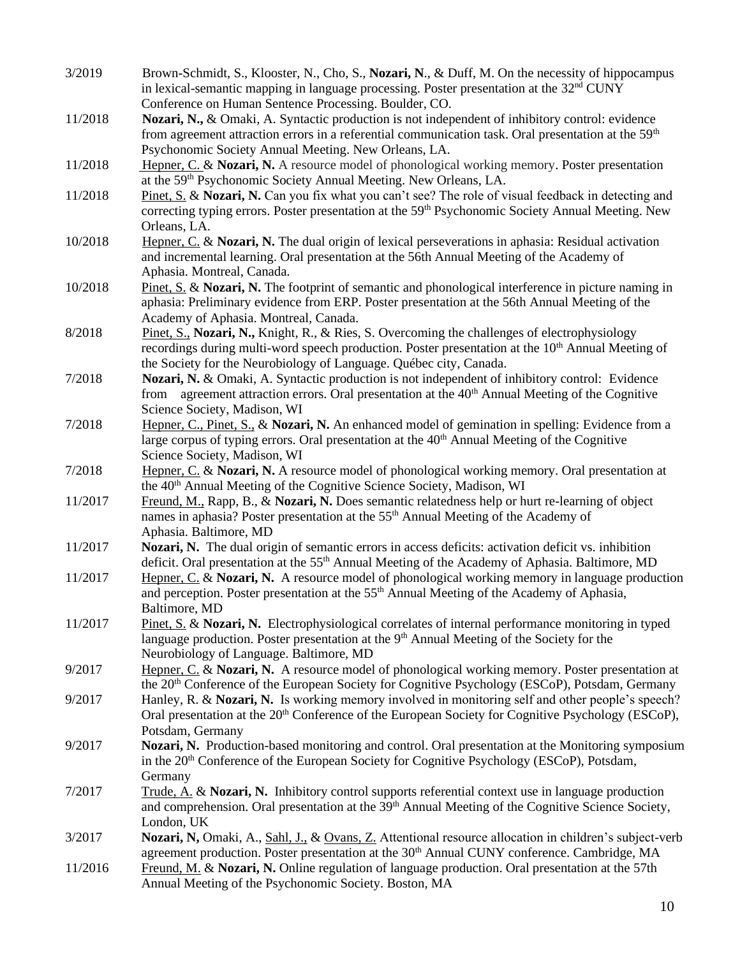- 3/2019 Brown-Schmidt, S., Klooster, N., Cho, S., **Nozari, N**., & Duff, M. On the necessity of hippocampus in lexical-semantic mapping in language processing. Poster presentation at the 32<sup>nd</sup> CUNY Conference on Human Sentence Processing. Boulder, CO.
- 11/2018 **Nozari, N.,** & Omaki, A. Syntactic production is not independent of inhibitory control: evidence from agreement attraction errors in a referential communication task. Oral presentation at the 59<sup>th</sup> Psychonomic Society Annual Meeting. New Orleans, LA.
- 11/2018 Hepner, C. & **Nozari, N.** A resource model of phonological working memory. Poster presentation at the 59th Psychonomic Society Annual Meeting. New Orleans, LA.
- 11/2018 Pinet, S. & **Nozari, N.** Can you fix what you can't see? The role of visual feedback in detecting and correcting typing errors. Poster presentation at the 59<sup>th</sup> Psychonomic Society Annual Meeting. New Orleans, LA.
- 10/2018 Hepner, C. & **Nozari, N.** The dual origin of lexical perseverations in aphasia: Residual activation and incremental learning. Oral presentation at the 56th Annual Meeting of the Academy of Aphasia. Montreal, Canada.
- 10/2018 Pinet, S. & **Nozari, N.** The footprint of semantic and phonological interference in picture naming in aphasia: Preliminary evidence from ERP. Poster presentation at the 56th Annual Meeting of the Academy of Aphasia. Montreal, Canada.
- 8/2018 Pinet, S., **Nozari, N.,** Knight, R., & Ries, S. Overcoming the challenges of electrophysiology recordings during multi-word speech production. Poster presentation at the  $10<sup>th</sup>$  Annual Meeting of the Society for the Neurobiology of Language. Québec city, Canada.
- 7/2018 **Nozari, N.** & Omaki, A. Syntactic production is not independent of inhibitory control: Evidence from agreement attraction errors. Oral presentation at the  $40<sup>th</sup>$  Annual Meeting of the Cognitive Science Society, Madison, WI
- 7/2018 Hepner, C., Pinet, S., & **Nozari, N.** An enhanced model of gemination in spelling: Evidence from a large corpus of typing errors. Oral presentation at the  $40<sup>th</sup>$  Annual Meeting of the Cognitive Science Society, Madison, WI

7/2018 Hepner, C. & **Nozari, N.** A resource model of phonological working memory. Oral presentation at the 40<sup>th</sup> Annual Meeting of the Cognitive Science Society, Madison, WI

- 11/2017 Freund, M., Rapp, B., & **Nozari, N.** Does semantic relatedness help or hurt re-learning of object names in aphasia? Poster presentation at the 55<sup>th</sup> Annual Meeting of the Academy of Aphasia. Baltimore, MD
- 11/2017 **Nozari, N.** The dual origin of semantic errors in access deficits: activation deficit vs. inhibition deficit. Oral presentation at the 55<sup>th</sup> Annual Meeting of the Academy of Aphasia. Baltimore, MD
- 11/2017 Hepner, C. & **Nozari, N.** A resource model of phonological working memory in language production and perception. Poster presentation at the 55<sup>th</sup> Annual Meeting of the Academy of Aphasia, Baltimore, MD
- 11/2017 Pinet, S. & **Nozari, N.** Electrophysiological correlates of internal performance monitoring in typed language production. Poster presentation at the 9<sup>th</sup> Annual Meeting of the Society for the Neurobiology of Language. Baltimore, MD

9/2017 Hepner, C. & **Nozari, N.** A resource model of phonological working memory. Poster presentation at the 20<sup>th</sup> Conference of the European Society for Cognitive Psychology (ESCoP), Potsdam, Germany

- 9/2017 Hanley, R. & **Nozari, N.** Is working memory involved in monitoring self and other people's speech? Oral presentation at the 20<sup>th</sup> Conference of the European Society for Cognitive Psychology (ESCoP), Potsdam, Germany
- 9/2017 **Nozari, N.** Production-based monitoring and control. Oral presentation at the Monitoring symposium in the 20<sup>th</sup> Conference of the European Society for Cognitive Psychology (ESCoP), Potsdam, **Germany**
- 7/2017 Trude, A. & **Nozari, N.** Inhibitory control supports referential context use in language production and comprehension. Oral presentation at the 39<sup>th</sup> Annual Meeting of the Cognitive Science Society, London, UK
- 3/2017 **Nozari, N,** Omaki, A., Sahl, J., & Ovans, Z. Attentional resource allocation in children's subject-verb agreement production. Poster presentation at the 30<sup>th</sup> Annual CUNY conference. Cambridge, MA
- 11/2016 Freund, M. & **Nozari, N.** Online regulation of language production. Oral presentation at the 57th Annual Meeting of the Psychonomic Society. Boston, MA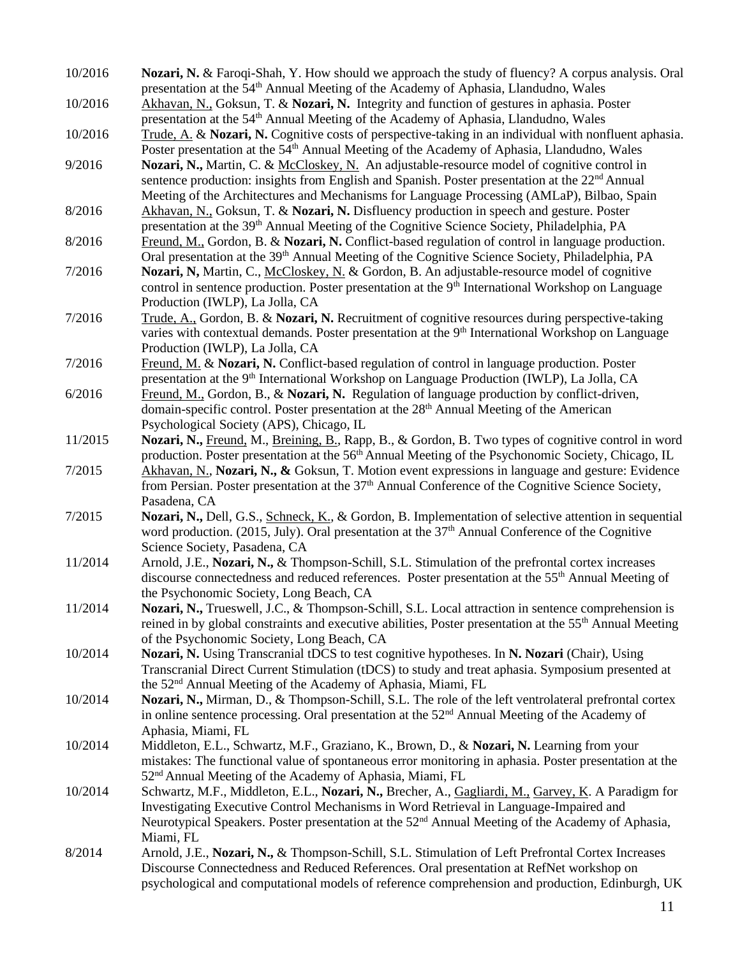- 10/2016 **Nozari, N.** & Faroqi-Shah, Y. How should we approach the study of fluency? A corpus analysis. Oral presentation at the 54th Annual Meeting of the Academy of Aphasia, Llandudno, Wales
- 10/2016 Akhavan, N., Goksun, T. & **Nozari, N.** Integrity and function of gestures in aphasia. Poster presentation at the 54<sup>th</sup> Annual Meeting of the Academy of Aphasia, Llandudno, Wales
- 10/2016 Trude, A. & **Nozari, N.** Cognitive costs of perspective-taking in an individual with nonfluent aphasia. Poster presentation at the 54<sup>th</sup> Annual Meeting of the Academy of Aphasia, Llandudno, Wales
- 9/2016 **Nozari, N.,** Martin, C. & McCloskey, N. An adjustable-resource model of cognitive control in sentence production: insights from English and Spanish. Poster presentation at the 22<sup>nd</sup> Annual Meeting of the Architectures and Mechanisms for Language Processing (AMLaP), Bilbao, Spain
- 8/2016 Akhavan, N., Goksun, T. & **Nozari, N.** Disfluency production in speech and gesture. Poster presentation at the 39th Annual Meeting of the Cognitive Science Society, Philadelphia, PA
- 8/2016 Freund, M., Gordon, B. & **Nozari, N.** Conflict-based regulation of control in language production. Oral presentation at the 39<sup>th</sup> Annual Meeting of the Cognitive Science Society, Philadelphia, PA
- 7/2016 **Nozari, N,** Martin, C., McCloskey, N. & Gordon, B. An adjustable-resource model of cognitive control in sentence production. Poster presentation at the 9<sup>th</sup> International Workshop on Language Production (IWLP), La Jolla, CA
- 7/2016 Trude, A., Gordon, B. & **Nozari, N.** Recruitment of cognitive resources during perspective-taking varies with contextual demands. Poster presentation at the  $9<sup>th</sup>$  International Workshop on Language Production (IWLP), La Jolla, CA
- 7/2016 Freund, M. & **Nozari, N.** Conflict-based regulation of control in language production. Poster presentation at the 9<sup>th</sup> International Workshop on Language Production (IWLP), La Jolla, CA
- 6/2016 Freund, M., Gordon, B., & **Nozari, N.** Regulation of language production by conflict-driven, domain-specific control. Poster presentation at the 28<sup>th</sup> Annual Meeting of the American Psychological Society (APS), Chicago, IL
- 11/2015 **Nozari, N.,** Freund, M., Breining, B., Rapp, B., & Gordon, B. Two types of cognitive control in word production. Poster presentation at the  $56<sup>th</sup>$  Annual Meeting of the Psychonomic Society, Chicago, IL
- 7/2015 Akhavan, N., **Nozari, N., &** Goksun, T. Motion event expressions in language and gesture: Evidence from Persian. Poster presentation at the 37<sup>th</sup> Annual Conference of the Cognitive Science Society, Pasadena, CA
- 7/2015 **Nozari, N.,** Dell, G.S., Schneck, K., & Gordon, B. Implementation of selective attention in sequential word production. (2015, July). Oral presentation at the 37<sup>th</sup> Annual Conference of the Cognitive Science Society, Pasadena, CA
- 11/2014 Arnold, J.E., **Nozari, N.,** & Thompson-Schill, S.L. Stimulation of the prefrontal cortex increases discourse connectedness and reduced references. Poster presentation at the 55th Annual Meeting of the Psychonomic Society, Long Beach, CA
- 11/2014 **Nozari, N.,** Trueswell, J.C., & Thompson-Schill, S.L. Local attraction in sentence comprehension is reined in by global constraints and executive abilities, Poster presentation at the 55<sup>th</sup> Annual Meeting of the Psychonomic Society, Long Beach, CA
- 10/2014 **Nozari, N.** Using Transcranial tDCS to test cognitive hypotheses. In **N. Nozari** (Chair), Using Transcranial Direct Current Stimulation (tDCS) to study and treat aphasia. Symposium presented at the 52nd Annual Meeting of the Academy of Aphasia, Miami, FL
- 10/2014 **Nozari, N.,** Mirman, D., & Thompson-Schill, S.L. The role of the left ventrolateral prefrontal cortex in online sentence processing. Oral presentation at the 52<sup>nd</sup> Annual Meeting of the Academy of Aphasia, Miami, FL
- 10/2014 Middleton, E.L., Schwartz, M.F., Graziano, K., Brown, D., & **Nozari, N.** Learning from your mistakes: The functional value of spontaneous error monitoring in aphasia. Poster presentation at the 52nd Annual Meeting of the Academy of Aphasia, Miami, FL
- 10/2014 Schwartz, M.F., Middleton, E.L., **Nozari, N.,** Brecher, A., Gagliardi, M., Garvey, K. A Paradigm for Investigating Executive Control Mechanisms in Word Retrieval in Language-Impaired and Neurotypical Speakers. Poster presentation at the 52<sup>nd</sup> Annual Meeting of the Academy of Aphasia, Miami, FL
- 8/2014 Arnold, J.E., **Nozari, N.,** & Thompson-Schill, S.L. Stimulation of Left Prefrontal Cortex Increases Discourse Connectedness and Reduced References. Oral presentation at RefNet workshop on psychological and computational models of reference comprehension and production, Edinburgh, UK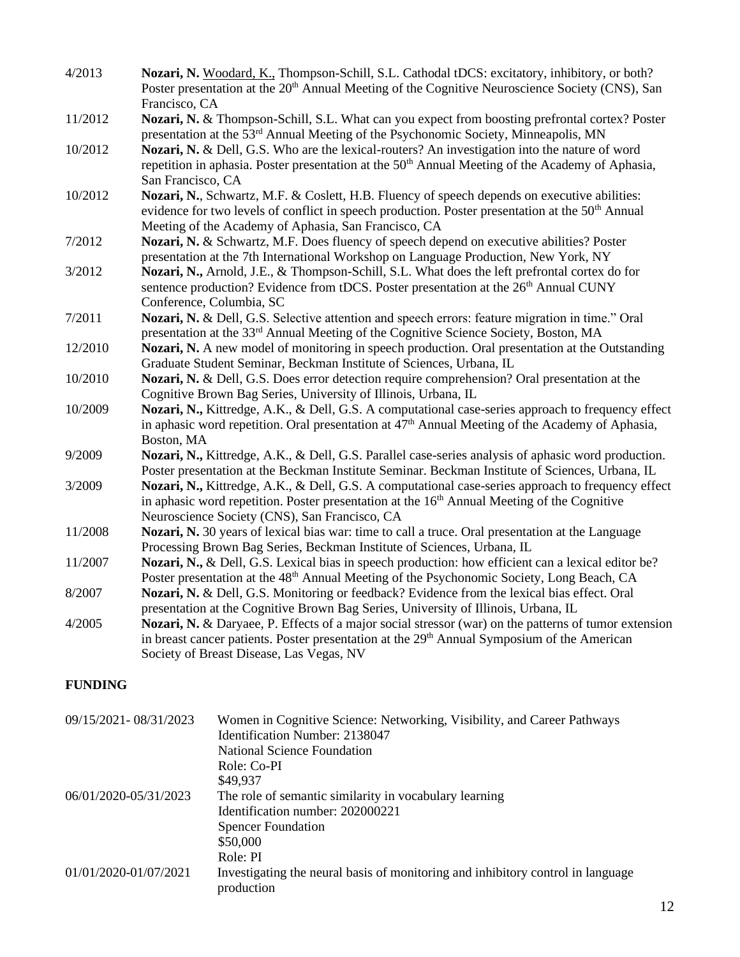| 4/2013  | Nozari, N. Woodard, K., Thompson-Schill, S.L. Cathodal tDCS: excitatory, inhibitory, or both?<br>Poster presentation at the 20 <sup>th</sup> Annual Meeting of the Cognitive Neuroscience Society (CNS), San<br>Francisco, CA                                        |
|---------|----------------------------------------------------------------------------------------------------------------------------------------------------------------------------------------------------------------------------------------------------------------------|
| 11/2012 | Nozari, N. & Thompson-Schill, S.L. What can you expect from boosting prefrontal cortex? Poster<br>presentation at the 53 <sup>rd</sup> Annual Meeting of the Psychonomic Society, Minneapolis, MN                                                                    |
| 10/2012 | Nozari, N. & Dell, G.S. Who are the lexical-routers? An investigation into the nature of word<br>repetition in aphasia. Poster presentation at the 50 <sup>th</sup> Annual Meeting of the Academy of Aphasia,<br>San Francisco, CA                                   |
| 10/2012 | Nozari, N., Schwartz, M.F. & Coslett, H.B. Fluency of speech depends on executive abilities:<br>evidence for two levels of conflict in speech production. Poster presentation at the 50 <sup>th</sup> Annual<br>Meeting of the Academy of Aphasia, San Francisco, CA |
| 7/2012  | Nozari, N. & Schwartz, M.F. Does fluency of speech depend on executive abilities? Poster<br>presentation at the 7th International Workshop on Language Production, New York, NY                                                                                      |
| 3/2012  | Nozari, N., Arnold, J.E., & Thompson-Schill, S.L. What does the left prefrontal cortex do for<br>sentence production? Evidence from tDCS. Poster presentation at the 26 <sup>th</sup> Annual CUNY<br>Conference, Columbia, SC                                        |
| 7/2011  | Nozari, N. & Dell, G.S. Selective attention and speech errors: feature migration in time." Oral<br>presentation at the 33 <sup>rd</sup> Annual Meeting of the Cognitive Science Society, Boston, MA                                                                  |
| 12/2010 | Nozari, N. A new model of monitoring in speech production. Oral presentation at the Outstanding<br>Graduate Student Seminar, Beckman Institute of Sciences, Urbana, IL                                                                                               |
| 10/2010 | <b>Nozari, N. &amp; Dell, G.S. Does error detection require comprehension? Oral presentation at the</b><br>Cognitive Brown Bag Series, University of Illinois, Urbana, IL                                                                                            |
| 10/2009 | Nozari, N., Kittredge, A.K., & Dell, G.S. A computational case-series approach to frequency effect<br>in aphasic word repetition. Oral presentation at 47 <sup>th</sup> Annual Meeting of the Academy of Aphasia,<br>Boston, MA                                      |
| 9/2009  | Nozari, N., Kittredge, A.K., & Dell, G.S. Parallel case-series analysis of aphasic word production.<br>Poster presentation at the Beckman Institute Seminar. Beckman Institute of Sciences, Urbana, IL                                                               |
| 3/2009  | Nozari, N., Kittredge, A.K., & Dell, G.S. A computational case-series approach to frequency effect<br>in aphasic word repetition. Poster presentation at the 16 <sup>th</sup> Annual Meeting of the Cognitive<br>Neuroscience Society (CNS), San Francisco, CA       |
| 11/2008 | Nozari, N. 30 years of lexical bias war: time to call a truce. Oral presentation at the Language<br>Processing Brown Bag Series, Beckman Institute of Sciences, Urbana, IL                                                                                           |
| 11/2007 | Nozari, N., & Dell, G.S. Lexical bias in speech production: how efficient can a lexical editor be?<br>Poster presentation at the 48 <sup>th</sup> Annual Meeting of the Psychonomic Society, Long Beach, CA                                                          |
| 8/2007  | Nozari, N. & Dell, G.S. Monitoring or feedback? Evidence from the lexical bias effect. Oral<br>presentation at the Cognitive Brown Bag Series, University of Illinois, Urbana, IL                                                                                    |
| 4/2005  | Nozari, N. & Daryaee, P. Effects of a major social stressor (war) on the patterns of tumor extension<br>in breast cancer patients. Poster presentation at the 29 <sup>th</sup> Annual Symposium of the American<br>Society of Breast Disease, Las Vegas, NV          |

# **FUNDING**

| 09/15/2021-08/31/2023 | Women in Cognitive Science: Networking, Visibility, and Career Pathways<br>Identification Number: 2138047 |
|-----------------------|-----------------------------------------------------------------------------------------------------------|
|                       | <b>National Science Foundation</b>                                                                        |
|                       | Role: Co-PI                                                                                               |
|                       | \$49,937                                                                                                  |
| 06/01/2020-05/31/2023 | The role of semantic similarity in vocabulary learning                                                    |
|                       | Identification number: 202000221                                                                          |
|                       | <b>Spencer Foundation</b>                                                                                 |
|                       | \$50,000                                                                                                  |
|                       | Role: PI                                                                                                  |
| 01/01/2020-01/07/2021 | Investigating the neural basis of monitoring and inhibitory control in language<br>production             |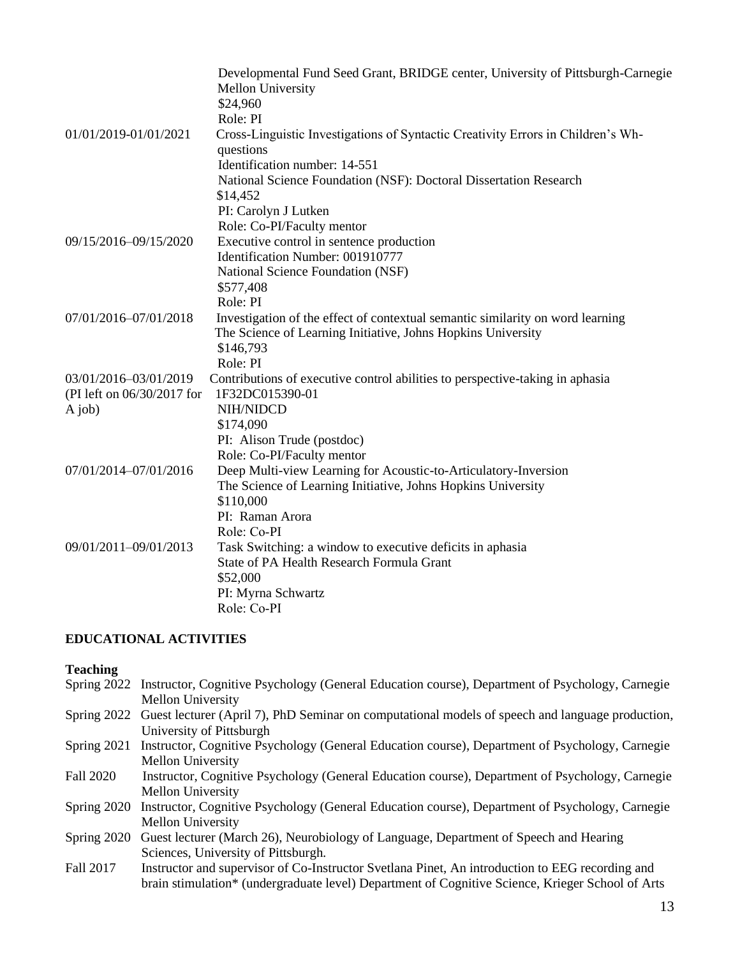|                            | Developmental Fund Seed Grant, BRIDGE center, University of Pittsburgh-Carnegie  |
|----------------------------|----------------------------------------------------------------------------------|
|                            | <b>Mellon University</b>                                                         |
|                            | \$24,960                                                                         |
|                            | Role: PI                                                                         |
| 01/01/2019-01/01/2021      | Cross-Linguistic Investigations of Syntactic Creativity Errors in Children's Wh- |
|                            | questions                                                                        |
|                            | Identification number: 14-551                                                    |
|                            | National Science Foundation (NSF): Doctoral Dissertation Research                |
|                            | \$14,452                                                                         |
|                            | PI: Carolyn J Lutken                                                             |
|                            | Role: Co-PI/Faculty mentor                                                       |
| 09/15/2016-09/15/2020      | Executive control in sentence production                                         |
|                            | Identification Number: 001910777                                                 |
|                            | National Science Foundation (NSF)                                                |
|                            | \$577,408                                                                        |
|                            | Role: PI                                                                         |
| 07/01/2016-07/01/2018      | Investigation of the effect of contextual semantic similarity on word learning   |
|                            | The Science of Learning Initiative, Johns Hopkins University                     |
|                            | \$146,793                                                                        |
|                            | Role: PI                                                                         |
| 03/01/2016-03/01/2019      | Contributions of executive control abilities to perspective-taking in aphasia    |
| (PI left on 06/30/2017 for | 1F32DC015390-01                                                                  |
| A job)                     | NIH/NIDCD                                                                        |
|                            | \$174,090                                                                        |
|                            | PI: Alison Trude (postdoc)                                                       |
|                            | Role: Co-PI/Faculty mentor                                                       |
| 07/01/2014-07/01/2016      | Deep Multi-view Learning for Acoustic-to-Articulatory-Inversion                  |
|                            | The Science of Learning Initiative, Johns Hopkins University                     |
|                            | \$110,000                                                                        |
|                            | PI: Raman Arora                                                                  |
|                            | Role: Co-PI                                                                      |
| 09/01/2011-09/01/2013      | Task Switching: a window to executive deficits in aphasia                        |
|                            | <b>State of PA Health Research Formula Grant</b>                                 |
|                            | \$52,000                                                                         |
|                            | PI: Myrna Schwartz                                                               |
|                            | Role: Co-PI                                                                      |

### **EDUCATIONAL ACTIVITIES**

### **Teaching**

- Spring 2022 Instructor, Cognitive Psychology (General Education course), Department of Psychology, Carnegie Mellon University
- Spring 2022 Guest lecturer (April 7), PhD Seminar on computational models of speech and language production, University of Pittsburgh
- Spring 2021 Instructor, Cognitive Psychology (General Education course), Department of Psychology, Carnegie Mellon University
- Fall 2020 Instructor, Cognitive Psychology (General Education course), Department of Psychology, Carnegie Mellon University
- Spring 2020 Instructor, Cognitive Psychology (General Education course), Department of Psychology, Carnegie Mellon University
- Spring 2020 Guest lecturer (March 26), Neurobiology of Language, Department of Speech and Hearing Sciences, University of Pittsburgh.
- Fall 2017 Instructor and supervisor of Co-Instructor Svetlana Pinet, An introduction to EEG recording and brain stimulation\* (undergraduate level) Department of Cognitive Science, Krieger School of Arts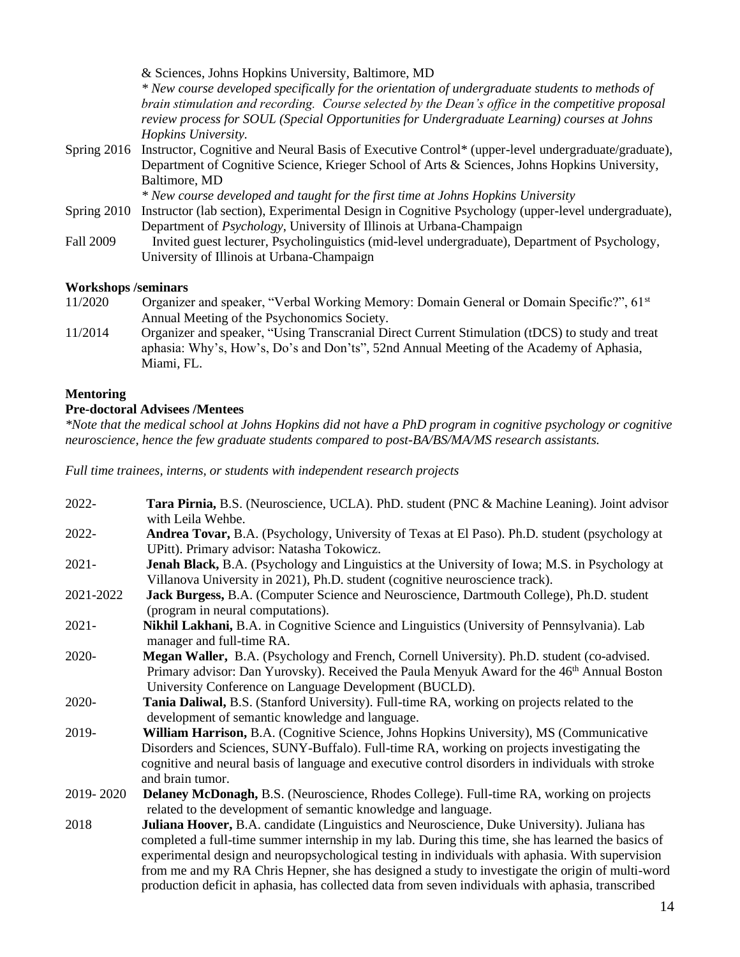& Sciences, Johns Hopkins University, Baltimore, MD *\* New course developed specifically for the orientation of undergraduate students to methods of brain stimulation and recording. Course selected by the Dean's office in the competitive proposal review process for SOUL (Special Opportunities for Undergraduate Learning) courses at Johns Hopkins University.*  Spring 2016 Instructor, Cognitive and Neural Basis of Executive Control\* (upper-level undergraduate/graduate), Department of Cognitive Science, Krieger School of Arts & Sciences, Johns Hopkins University, Baltimore, MD *\* New course developed and taught for the first time at Johns Hopkins University* Spring 2010 Instructor (lab section), Experimental Design in Cognitive Psychology (upper-level undergraduate),

Department of *Psychology*, University of Illinois at Urbana-Champaign Fall 2009 Invited guest lecturer, Psycholinguistics (mid-level undergraduate), Department of Psychology, University of Illinois at Urbana-Champaign

### **Workshops /seminars**

- 11/2020 Organizer and speaker, "Verbal Working Memory: Domain General or Domain Specific?", 61<sup>st</sup> Annual Meeting of the Psychonomics Society.
- 11/2014 Organizer and speaker, "Using Transcranial Direct Current Stimulation (tDCS) to study and treat aphasia: Why's, How's, Do's and Don'ts", 52nd Annual Meeting of the Academy of Aphasia, Miami, FL.

### **Mentoring**

## **Pre-doctoral Advisees /Mentees**

*\*Note that the medical school at Johns Hopkins did not have a PhD program in cognitive psychology or cognitive neuroscience, hence the few graduate students compared to post-BA/BS/MA/MS research assistants.*

*Full time trainees, interns, or students with independent research projects*

| 2022-     | Tara Pirnia, B.S. (Neuroscience, UCLA). PhD. student (PNC & Machine Leaning). Joint advisor<br>with Leila Wehbe.                                                                                                                                                                                                                                                                                                                                                                                                |
|-----------|-----------------------------------------------------------------------------------------------------------------------------------------------------------------------------------------------------------------------------------------------------------------------------------------------------------------------------------------------------------------------------------------------------------------------------------------------------------------------------------------------------------------|
| 2022-     | <b>Andrea Tovar, B.A.</b> (Psychology, University of Texas at El Paso). Ph.D. student (psychology at<br>UPitt). Primary advisor: Natasha Tokowicz.                                                                                                                                                                                                                                                                                                                                                              |
| $2021 -$  | <b>Jenah Black, B.A.</b> (Psychology and Linguistics at the University of Iowa; M.S. in Psychology at<br>Villanova University in 2021), Ph.D. student (cognitive neuroscience track).                                                                                                                                                                                                                                                                                                                           |
| 2021-2022 | Jack Burgess, B.A. (Computer Science and Neuroscience, Dartmouth College), Ph.D. student<br>(program in neural computations).                                                                                                                                                                                                                                                                                                                                                                                   |
| $2021 -$  | Nikhil Lakhani, B.A. in Cognitive Science and Linguistics (University of Pennsylvania). Lab<br>manager and full-time RA.                                                                                                                                                                                                                                                                                                                                                                                        |
| 2020-     | Megan Waller, B.A. (Psychology and French, Cornell University). Ph.D. student (co-advised.<br>Primary advisor: Dan Yurovsky). Received the Paula Menyuk Award for the 46 <sup>th</sup> Annual Boston<br>University Conference on Language Development (BUCLD).                                                                                                                                                                                                                                                  |
| 2020-     | Tania Daliwal, B.S. (Stanford University). Full-time RA, working on projects related to the<br>development of semantic knowledge and language.                                                                                                                                                                                                                                                                                                                                                                  |
| 2019-     | William Harrison, B.A. (Cognitive Science, Johns Hopkins University), MS (Communicative<br>Disorders and Sciences, SUNY-Buffalo). Full-time RA, working on projects investigating the<br>cognitive and neural basis of language and executive control disorders in individuals with stroke<br>and brain tumor.                                                                                                                                                                                                  |
| 2019-2020 | <b>Delaney McDonagh, B.S.</b> (Neuroscience, Rhodes College). Full-time RA, working on projects<br>related to the development of semantic knowledge and language.                                                                                                                                                                                                                                                                                                                                               |
| 2018      | Juliana Hoover, B.A. candidate (Linguistics and Neuroscience, Duke University). Juliana has<br>completed a full-time summer internship in my lab. During this time, she has learned the basics of<br>experimental design and neuropsychological testing in individuals with aphasia. With supervision<br>from me and my RA Chris Hepner, she has designed a study to investigate the origin of multi-word<br>production deficit in aphasia, has collected data from seven individuals with aphasia, transcribed |

14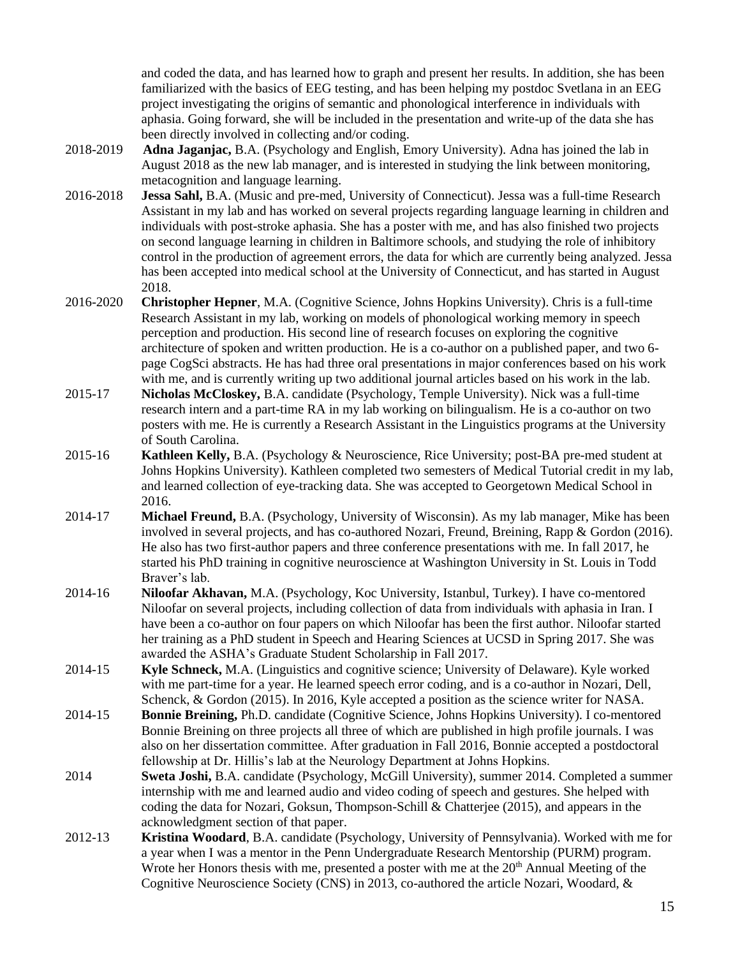and coded the data, and has learned how to graph and present her results. In addition, she has been familiarized with the basics of EEG testing, and has been helping my postdoc Svetlana in an EEG project investigating the origins of semantic and phonological interference in individuals with aphasia. Going forward, she will be included in the presentation and write-up of the data she has been directly involved in collecting and/or coding.

- 2018-2019 **Adna Jaganjac,** B.A. (Psychology and English, Emory University). Adna has joined the lab in August 2018 as the new lab manager, and is interested in studying the link between monitoring, metacognition and language learning.
- 2016-2018 **Jessa Sahl,** B.A. (Music and pre-med, University of Connecticut). Jessa was a full-time Research Assistant in my lab and has worked on several projects regarding language learning in children and individuals with post-stroke aphasia. She has a poster with me, and has also finished two projects on second language learning in children in Baltimore schools, and studying the role of inhibitory control in the production of agreement errors, the data for which are currently being analyzed. Jessa has been accepted into medical school at the University of Connecticut, and has started in August 2018.
- 2016-2020 **Christopher Hepner**, M.A. (Cognitive Science, Johns Hopkins University). Chris is a full-time Research Assistant in my lab, working on models of phonological working memory in speech perception and production. His second line of research focuses on exploring the cognitive architecture of spoken and written production. He is a co-author on a published paper, and two 6 page CogSci abstracts. He has had three oral presentations in major conferences based on his work with me, and is currently writing up two additional journal articles based on his work in the lab.
- 2015-17 **Nicholas McCloskey,** B.A. candidate (Psychology, Temple University). Nick was a full-time research intern and a part-time RA in my lab working on bilingualism. He is a co-author on two posters with me. He is currently a Research Assistant in the Linguistics programs at the University of South Carolina.
- 2015-16 **Kathleen Kelly,** B.A. (Psychology & Neuroscience, Rice University; post-BA pre-med student at Johns Hopkins University). Kathleen completed two semesters of Medical Tutorial credit in my lab, and learned collection of eye-tracking data. She was accepted to Georgetown Medical School in 2016.
- 2014-17 **Michael Freund,** B.A. (Psychology, University of Wisconsin). As my lab manager, Mike has been involved in several projects, and has co-authored Nozari, Freund, Breining, Rapp & Gordon (2016). He also has two first-author papers and three conference presentations with me. In fall 2017, he started his PhD training in cognitive neuroscience at Washington University in St. Louis in Todd Braver's lab.
- 2014-16 **Niloofar Akhavan,** M.A. (Psychology, Koc University, Istanbul, Turkey). I have co-mentored Niloofar on several projects, including collection of data from individuals with aphasia in Iran. I have been a co-author on four papers on which Niloofar has been the first author. Niloofar started her training as a PhD student in Speech and Hearing Sciences at UCSD in Spring 2017. She was awarded the ASHA's Graduate Student Scholarship in Fall 2017.
- 2014-15 **Kyle Schneck,** M.A. (Linguistics and cognitive science; University of Delaware). Kyle worked with me part-time for a year. He learned speech error coding, and is a co-author in Nozari, Dell, Schenck, & Gordon (2015). In 2016, Kyle accepted a position as the science writer for NASA.
- 2014-15 **Bonnie Breining,** Ph.D. candidate (Cognitive Science, Johns Hopkins University). I co-mentored Bonnie Breining on three projects all three of which are published in high profile journals. I was also on her dissertation committee. After graduation in Fall 2016, Bonnie accepted a postdoctoral fellowship at Dr. Hillis's lab at the Neurology Department at Johns Hopkins.
- 2014 **Sweta Joshi,** B.A. candidate (Psychology, McGill University), summer 2014. Completed a summer internship with me and learned audio and video coding of speech and gestures. She helped with coding the data for Nozari, Goksun, Thompson-Schill & Chatterjee (2015), and appears in the acknowledgment section of that paper.
- 2012-13 **Kristina Woodard**, B.A. candidate (Psychology, University of Pennsylvania). Worked with me for a year when I was a mentor in the Penn Undergraduate Research Mentorship (PURM) program. Wrote her Honors thesis with me, presented a poster with me at the  $20<sup>th</sup>$  Annual Meeting of the Cognitive Neuroscience Society (CNS) in 2013, co-authored the article Nozari, Woodard, &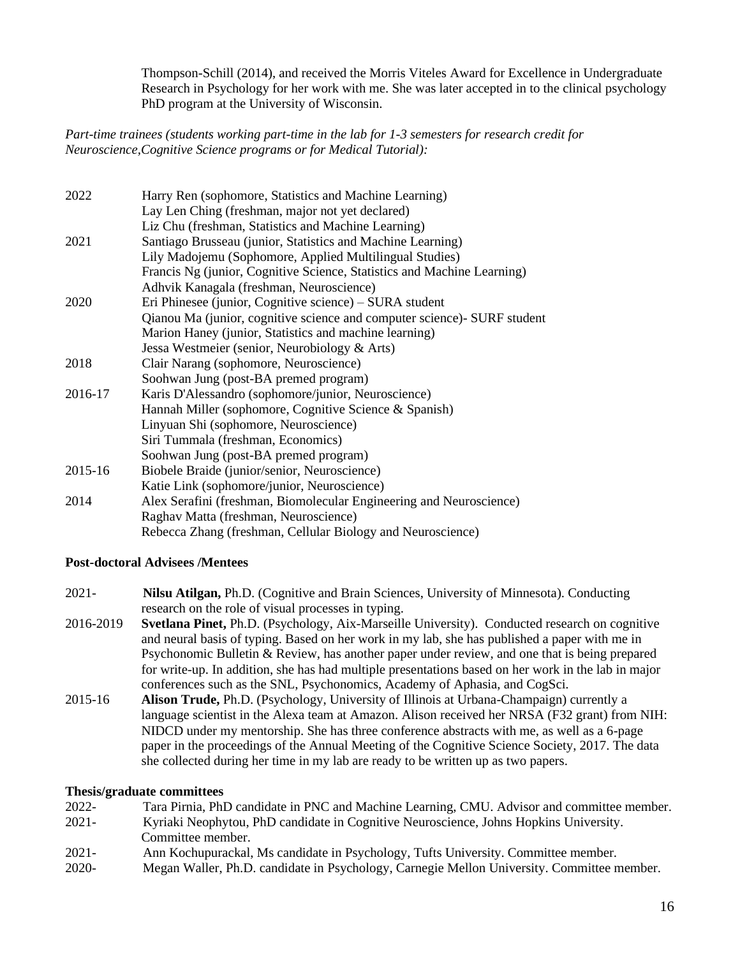Thompson-Schill (2014), and received the Morris Viteles Award for Excellence in Undergraduate Research in Psychology for her work with me. She was later accepted in to the clinical psychology PhD program at the University of Wisconsin.

*Part-time trainees (students working part-time in the lab for 1-3 semesters for research credit for Neuroscience,Cognitive Science programs or for Medical Tutorial):* 

| 2022    | Harry Ren (sophomore, Statistics and Machine Learning)                  |
|---------|-------------------------------------------------------------------------|
|         | Lay Len Ching (freshman, major not yet declared)                        |
|         | Liz Chu (freshman, Statistics and Machine Learning)                     |
| 2021    | Santiago Brusseau (junior, Statistics and Machine Learning)             |
|         | Lily Madojemu (Sophomore, Applied Multilingual Studies)                 |
|         | Francis Ng (junior, Cognitive Science, Statistics and Machine Learning) |
|         | Adhvik Kanagala (freshman, Neuroscience)                                |
| 2020    | Eri Phinesee (junior, Cognitive science) – SURA student                 |
|         | Qianou Ma (junior, cognitive science and computer science) SURF student |
|         | Marion Haney (junior, Statistics and machine learning)                  |
|         | Jessa Westmeier (senior, Neurobiology & Arts)                           |
| 2018    | Clair Narang (sophomore, Neuroscience)                                  |
|         | Soohwan Jung (post-BA premed program)                                   |
| 2016-17 | Karis D'Alessandro (sophomore/junior, Neuroscience)                     |
|         | Hannah Miller (sophomore, Cognitive Science & Spanish)                  |
|         | Linyuan Shi (sophomore, Neuroscience)                                   |
|         | Siri Tummala (freshman, Economics)                                      |
|         | Soohwan Jung (post-BA premed program)                                   |
| 2015-16 | Biobele Braide (junior/senior, Neuroscience)                            |
|         | Katie Link (sophomore/junior, Neuroscience)                             |
| 2014    | Alex Serafini (freshman, Biomolecular Engineering and Neuroscience)     |
|         | Raghav Matta (freshman, Neuroscience)                                   |
|         | Rebecca Zhang (freshman, Cellular Biology and Neuroscience)             |

### **Post-doctoral Advisees /Mentees**

- 2021- **Nilsu Atilgan,** Ph.D. (Cognitive and Brain Sciences, University of Minnesota). Conducting research on the role of visual processes in typing.
- 2016-2019 **Svetlana Pinet,** Ph.D. (Psychology, Aix-Marseille University). Conducted research on cognitive and neural basis of typing. Based on her work in my lab, she has published a paper with me in Psychonomic Bulletin & Review, has another paper under review, and one that is being prepared for write-up. In addition, she has had multiple presentations based on her work in the lab in major conferences such as the SNL, Psychonomics, Academy of Aphasia, and CogSci.
- 2015-16 **Alison Trude,** Ph.D. (Psychology, University of Illinois at Urbana-Champaign) currently a language scientist in the Alexa team at Amazon. Alison received her NRSA (F32 grant) from NIH: NIDCD under my mentorship. She has three conference abstracts with me, as well as a 6-page paper in the proceedings of the Annual Meeting of the Cognitive Science Society, 2017. The data she collected during her time in my lab are ready to be written up as two papers.

### **Thesis/graduate committees**

| $2022 -$<br>Tara Pirnia, PhD candidate in PNC and Machine Learning, CMU. Advisor and committee member. |
|--------------------------------------------------------------------------------------------------------|
|--------------------------------------------------------------------------------------------------------|

- 2021- Kyriaki Neophytou, PhD candidate in Cognitive Neuroscience, Johns Hopkins University. Committee member.
- 2021- Ann Kochupurackal, Ms candidate in Psychology, Tufts University. Committee member.
- 2020- Megan Waller, Ph.D. candidate in Psychology, Carnegie Mellon University. Committee member.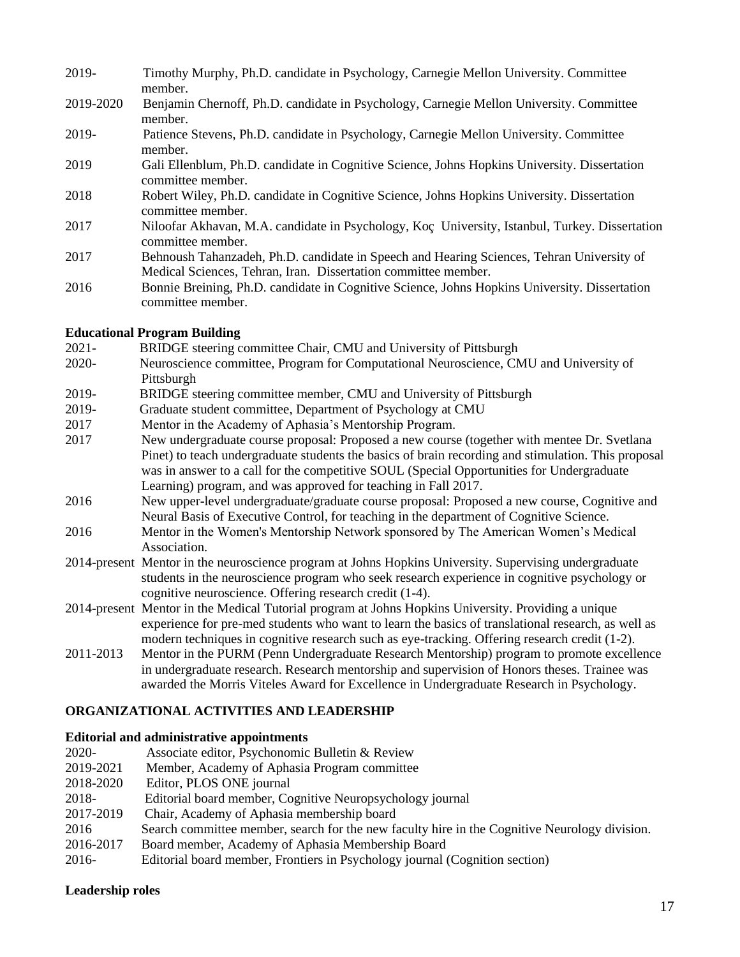- 2019- Timothy Murphy, Ph.D. candidate in Psychology, Carnegie Mellon University. Committee member.
- 2019-2020 Benjamin Chernoff, Ph.D. candidate in Psychology, Carnegie Mellon University. Committee member.
- 2019- Patience Stevens, Ph.D. candidate in Psychology, Carnegie Mellon University. Committee member.
- 2019 Gali Ellenblum, Ph.D. candidate in Cognitive Science, Johns Hopkins University. Dissertation committee member.
- 2018 Robert Wiley, Ph.D. candidate in Cognitive Science, Johns Hopkins University. Dissertation committee member.
- 2017 Niloofar Akhavan, M.A. candidate in Psychology, Koç University, Istanbul, Turkey. Dissertation committee member.
- 2017 Behnoush Tahanzadeh, Ph.D. candidate in Speech and Hearing Sciences, Tehran University of Medical Sciences, Tehran, Iran. Dissertation committee member.
- 2016 Bonnie Breining, Ph.D. candidate in Cognitive Science, Johns Hopkins University. Dissertation committee member.

## **Educational Program Building**

- 2021- BRIDGE steering committee Chair, CMU and University of Pittsburgh
- 2020- Neuroscience committee, Program for Computational Neuroscience, CMU and University of Pittsburgh
- 2019- BRIDGE steering committee member, CMU and University of Pittsburgh
- 2019- Graduate student committee, Department of Psychology at CMU
- 2017 Mentor in the Academy of Aphasia's Mentorship Program.
- 2017 New undergraduate course proposal: Proposed a new course (together with mentee Dr. Svetlana Pinet) to teach undergraduate students the basics of brain recording and stimulation. This proposal was in answer to a call for the competitive SOUL (Special Opportunities for Undergraduate Learning) program, and was approved for teaching in Fall 2017.
- 2016 New upper-level undergraduate/graduate course proposal: Proposed a new course, Cognitive and Neural Basis of Executive Control, for teaching in the department of Cognitive Science.
- 2016 Mentor in the Women's Mentorship Network sponsored by The American Women's Medical Association.
- 2014-present Mentor in the neuroscience program at Johns Hopkins University. Supervising undergraduate students in the neuroscience program who seek research experience in cognitive psychology or cognitive neuroscience. Offering research credit (1-4).
- 2014-present Mentor in the Medical Tutorial program at Johns Hopkins University. Providing a unique experience for pre-med students who want to learn the basics of translational research, as well as modern techniques in cognitive research such as eye-tracking. Offering research credit (1-2).
- 2011-2013 Mentor in the PURM (Penn Undergraduate Research Mentorship) program to promote excellence in undergraduate research. Research mentorship and supervision of Honors theses. Trainee was awarded the Morris Viteles Award for Excellence in Undergraduate Research in Psychology.

# **ORGANIZATIONAL ACTIVITIES AND LEADERSHIP**

### **Editorial and administrative appointments**

| 2020-     | Associate editor, Psychonomic Bulletin & Review                                               |
|-----------|-----------------------------------------------------------------------------------------------|
| 2019-2021 | Member, Academy of Aphasia Program committee                                                  |
| 2018-2020 | Editor, PLOS ONE journal                                                                      |
| 2018-     | Editorial board member, Cognitive Neuropsychology journal                                     |
| 2017-2019 | Chair, Academy of Aphasia membership board                                                    |
| 2016      | Search committee member, search for the new faculty hire in the Cognitive Neurology division. |
| 2016-2017 | Board member, Academy of Aphasia Membership Board                                             |
| 2016-     | Editorial board member, Frontiers in Psychology journal (Cognition section)                   |

# **Leadership roles**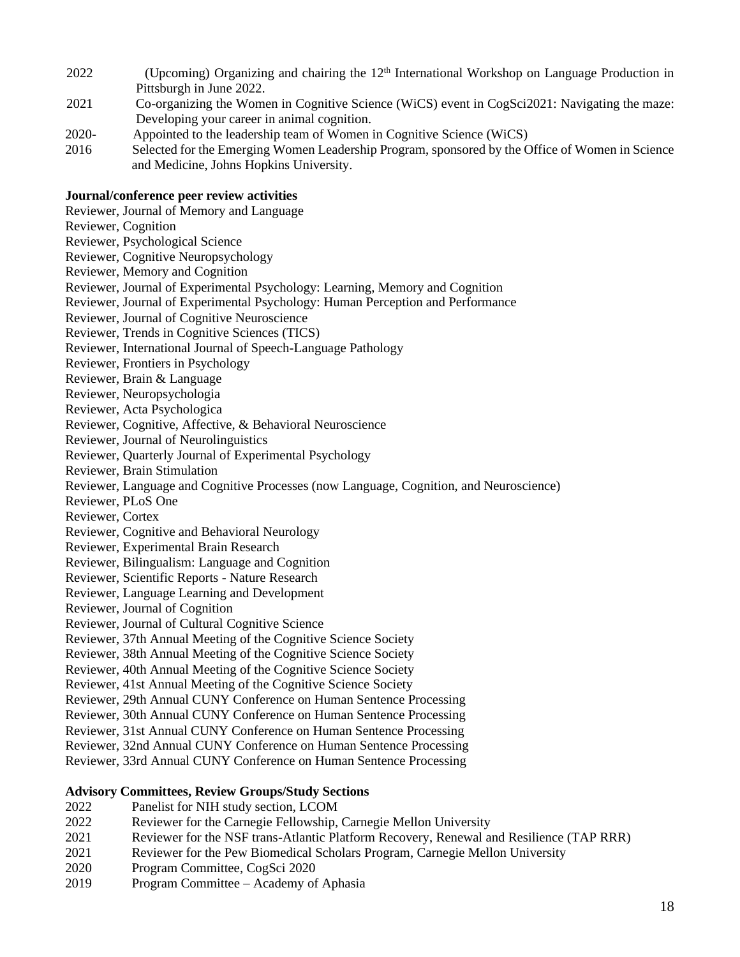- 2022 (Upcoming) Organizing and chairing the 12th International Workshop on Language Production in Pittsburgh in June 2022.
- 2021 Co-organizing the Women in Cognitive Science (WiCS) event in CogSci2021: Navigating the maze: Developing your career in animal cognition.
- 2020- Appointed to the leadership team of Women in Cognitive Science (WiCS)
- 2016 Selected for the Emerging Women Leadership Program, sponsored by the Office of Women in Science and Medicine, Johns Hopkins University.

### **Journal/conference peer review activities**

Reviewer, Journal of Memory and Language Reviewer, Cognition Reviewer, Psychological Science Reviewer, Cognitive Neuropsychology Reviewer, Memory and Cognition Reviewer, Journal of Experimental Psychology: Learning, Memory and Cognition Reviewer, Journal of Experimental Psychology: Human Perception and Performance Reviewer, Journal of Cognitive Neuroscience Reviewer, Trends in Cognitive Sciences (TICS) Reviewer, International Journal of Speech-Language Pathology Reviewer, Frontiers in Psychology Reviewer, Brain & Language Reviewer, Neuropsychologia Reviewer, Acta Psychologica Reviewer, Cognitive, Affective, & Behavioral Neuroscience Reviewer, Journal of Neurolinguistics Reviewer, Quarterly Journal of Experimental Psychology Reviewer, Brain Stimulation Reviewer, Language and Cognitive Processes (now Language, Cognition, and Neuroscience) Reviewer, PLoS One Reviewer, Cortex Reviewer, Cognitive and Behavioral Neurology Reviewer, Experimental Brain Research Reviewer, Bilingualism: Language and Cognition Reviewer, Scientific Reports - Nature Research Reviewer, Language Learning and Development Reviewer, Journal of Cognition Reviewer, Journal of Cultural Cognitive Science Reviewer, 37th Annual Meeting of the Cognitive Science Society Reviewer, 38th Annual Meeting of the Cognitive Science Society Reviewer, 40th Annual Meeting of the Cognitive Science Society Reviewer, 41st Annual Meeting of the Cognitive Science Society Reviewer, 29th Annual CUNY Conference on Human Sentence Processing Reviewer, 30th Annual CUNY Conference on Human Sentence Processing Reviewer, 31st Annual CUNY Conference on Human Sentence Processing Reviewer, 32nd Annual CUNY Conference on Human Sentence Processing Reviewer, 33rd Annual CUNY Conference on Human Sentence Processing

### **Advisory Committees, Review Groups/Study Sections**

- 2022 Panelist for NIH study section, LCOM
- 2022 Reviewer for the Carnegie Fellowship, Carnegie Mellon University
- 2021 Reviewer for the NSF trans-Atlantic Platform Recovery, Renewal and Resilience (TAP RRR)
- 2021 Reviewer for the Pew Biomedical Scholars Program, Carnegie Mellon University
- 2020 Program Committee, CogSci 2020
- 2019 Program Committee Academy of Aphasia